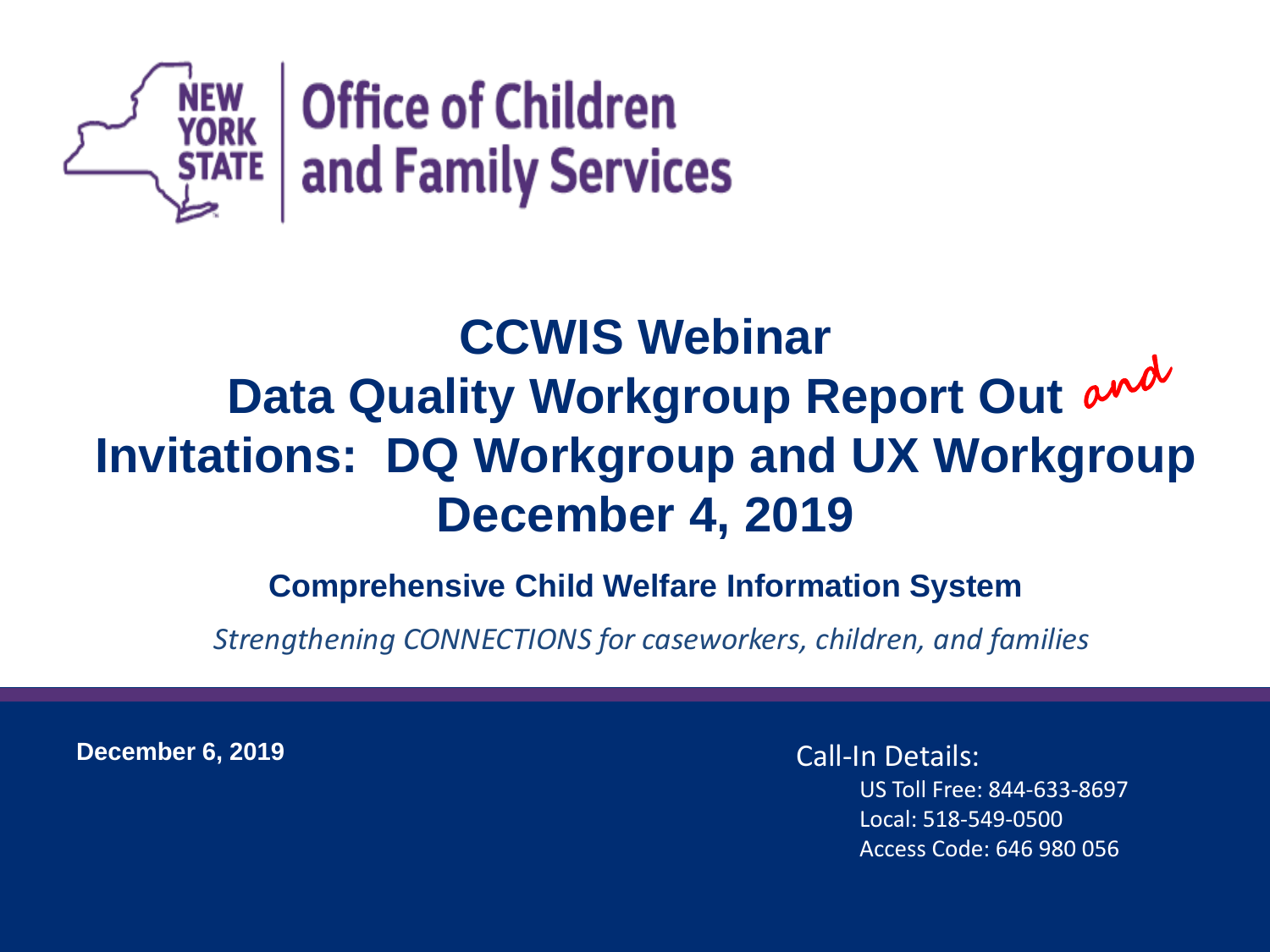

#### **CCWIS Webinar** Data Quality Workgroup Report Out and **Invitations: DQ Workgroup and UX Workgroup December 4, 2019**

#### **Comprehensive Child Welfare Information System**

*Strengthening CONNECTIONS for caseworkers, children, and families*

**December 6, 2019**

Call-In Details: US Toll Free: 844-633-8697 Local: 518-549-0500 Access Code: 646 980 056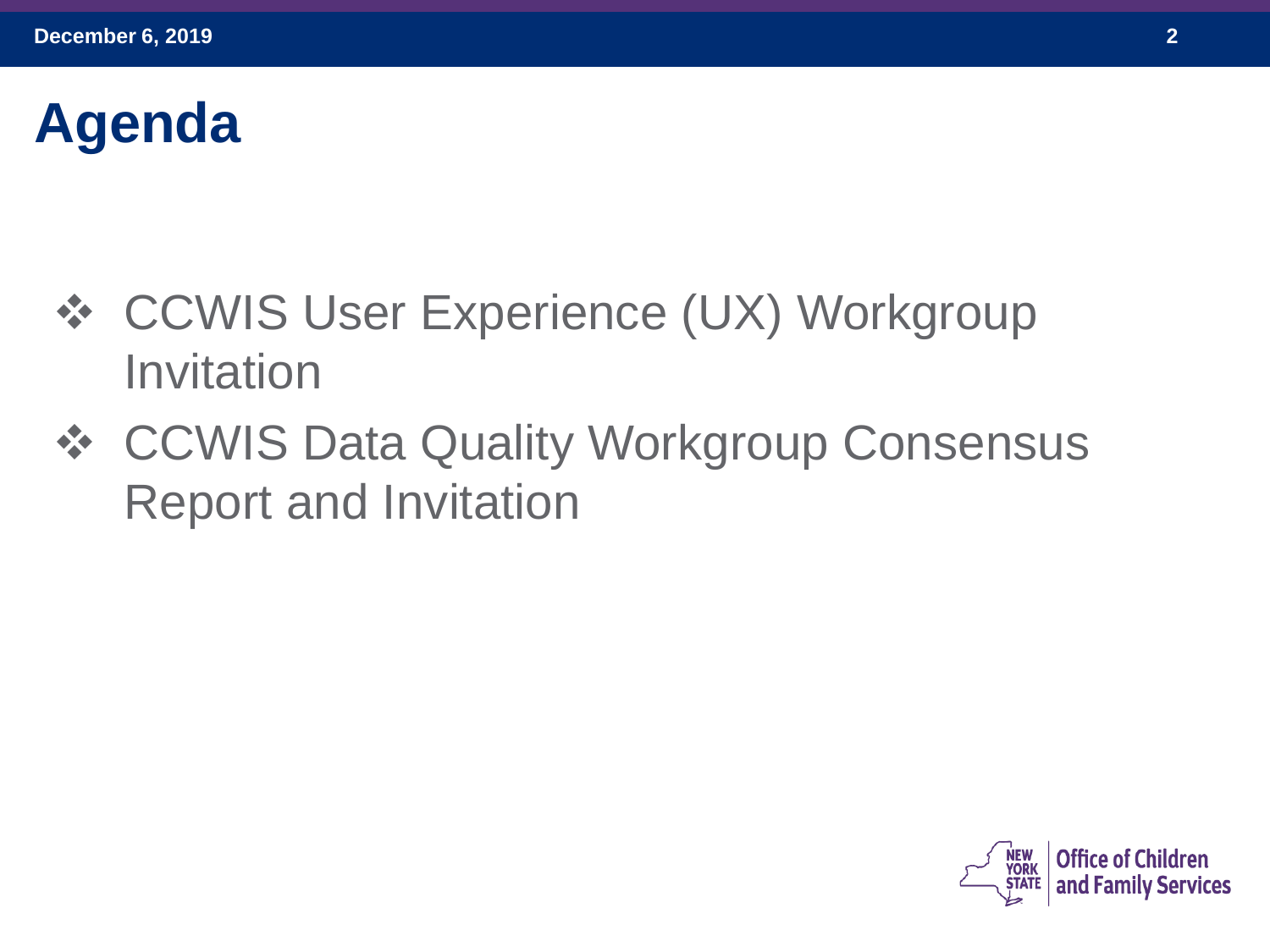## **Agenda**

- ❖ CCWIS User Experience (UX) Workgroup Invitation
- ❖ CCWIS Data Quality Workgroup Consensus Report and Invitation

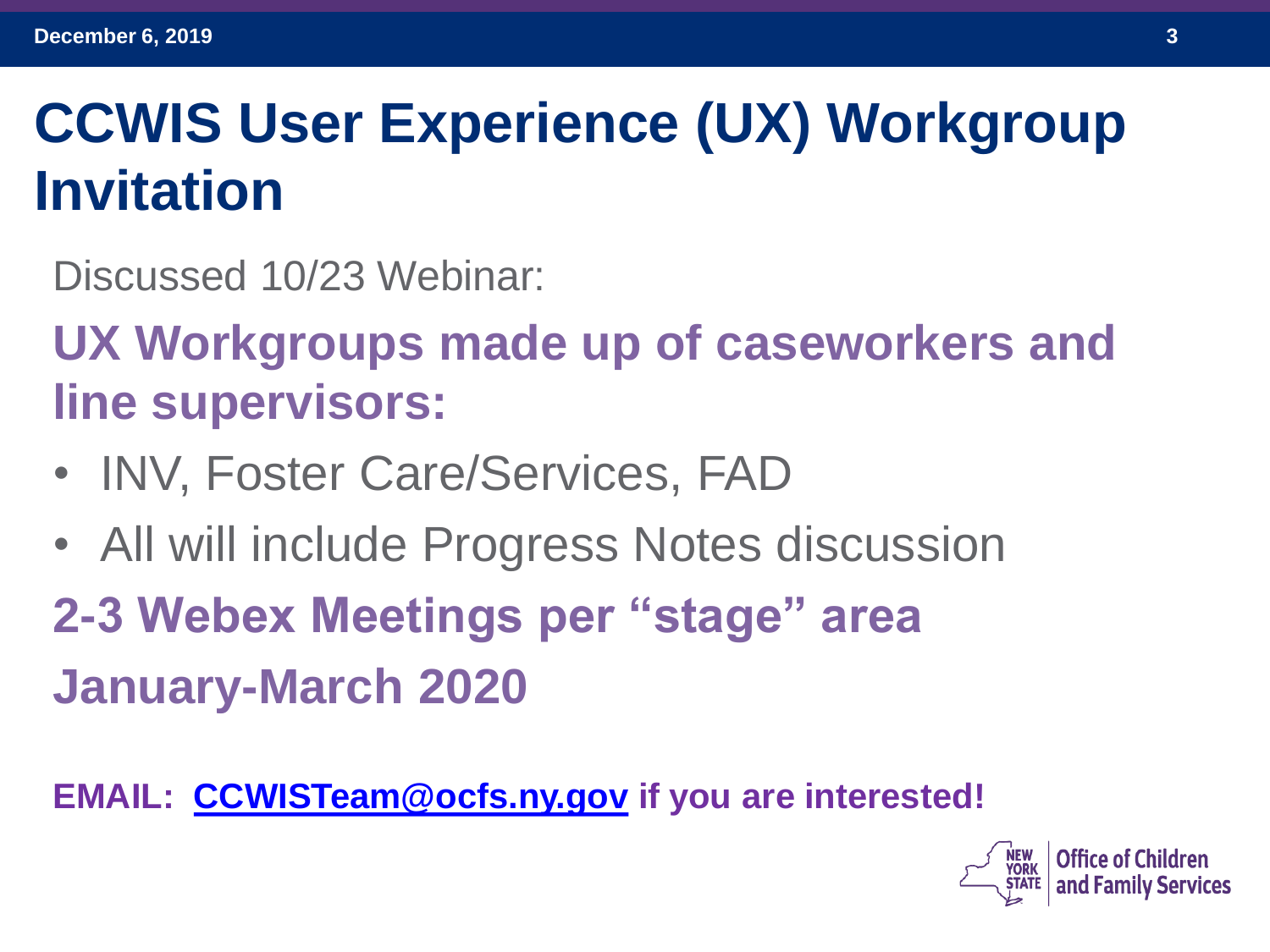## **CCWIS User Experience (UX) Workgroup Invitation**

Discussed 10/23 Webinar:

**UX Workgroups made up of caseworkers and line supervisors:**

- INV, Foster Care/Services, FAD
- All will include Progress Notes discussion

**2-3 Webex Meetings per "stage" area January-March 2020**

**EMAIL: [CCWISTeam@ocfs.ny.gov](mailto:CCWISTeam@ocfs.ny.gov) if you are interested!**

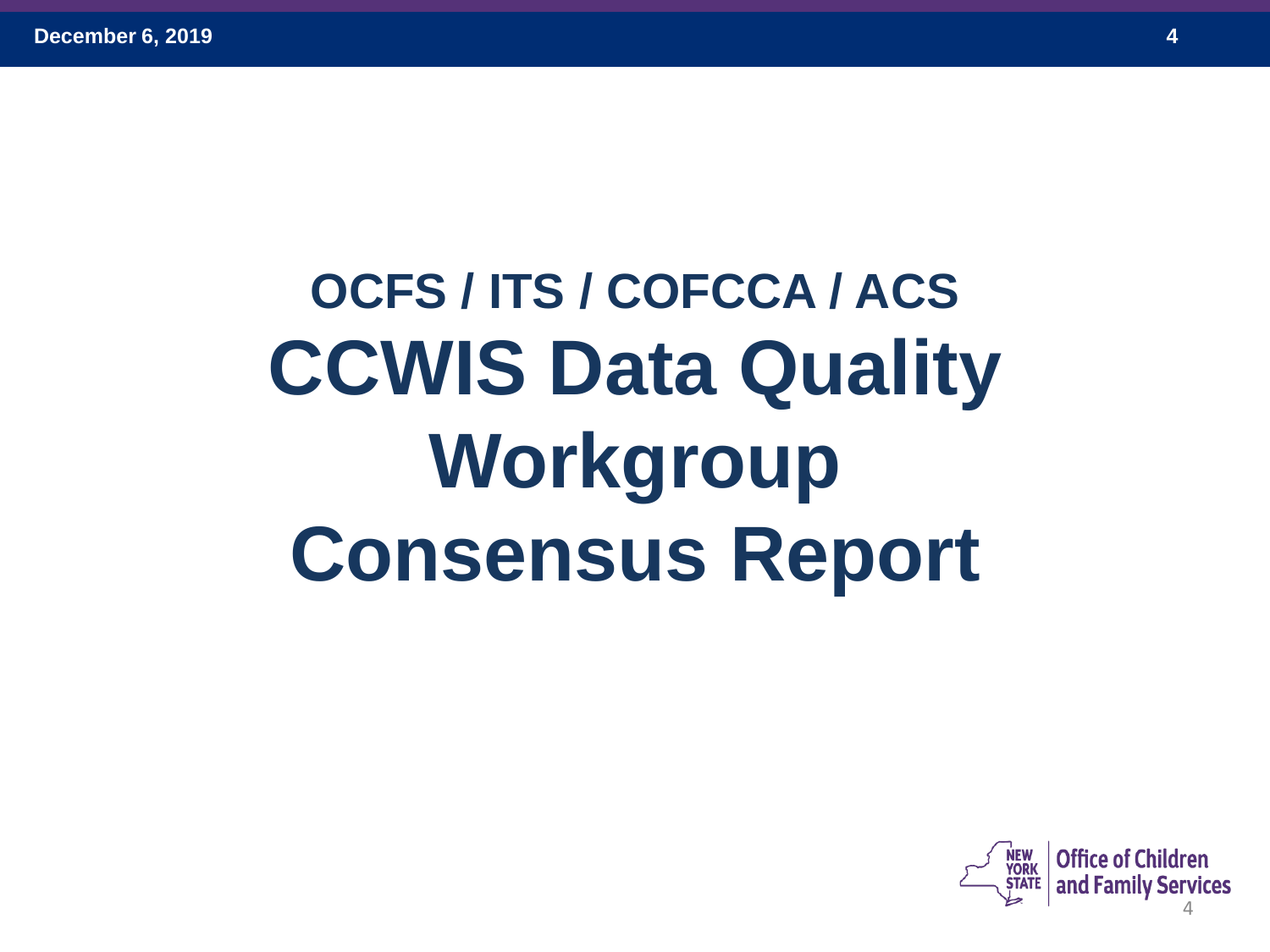# **OCFS / ITS / COFCCA / ACS CCWIS Data Quality Workgroup Consensus Report**

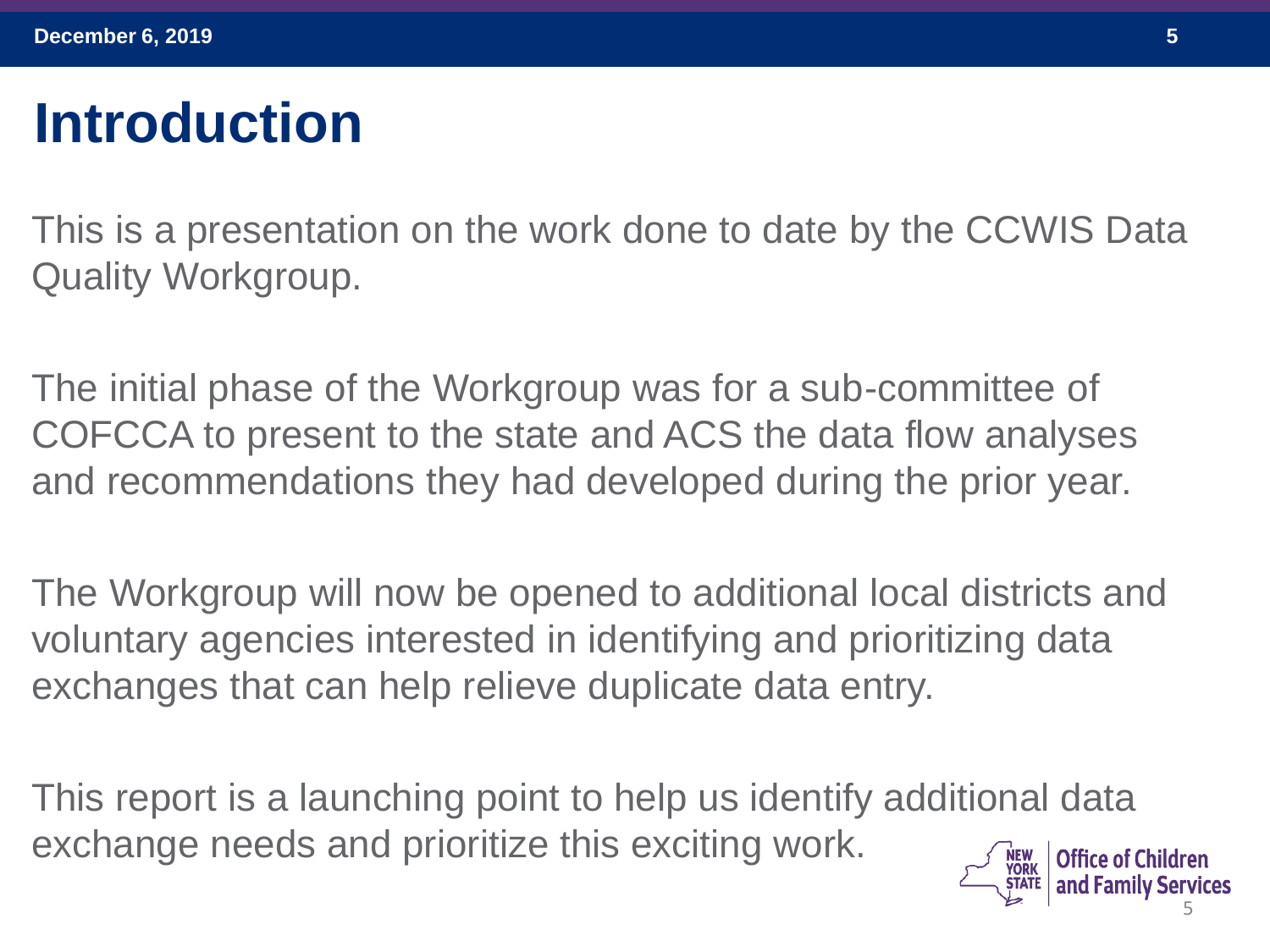## **Introduction**

This is a presentation on the work done to date by the CCWIS Data Quality Workgroup.

The initial phase of the Workgroup was for a sub-committee of COFCCA to present to the state and ACS the data flow analyses and recommendations they had developed during the prior year.

The Workgroup will now be opened to additional local districts and voluntary agencies interested in identifying and prioritizing data exchanges that can help relieve duplicate data entry.

This report is a launching point to help us identify additional data exchange needs and prioritize this exciting work. **Office of Children** NEW<br>York

5

and Family Services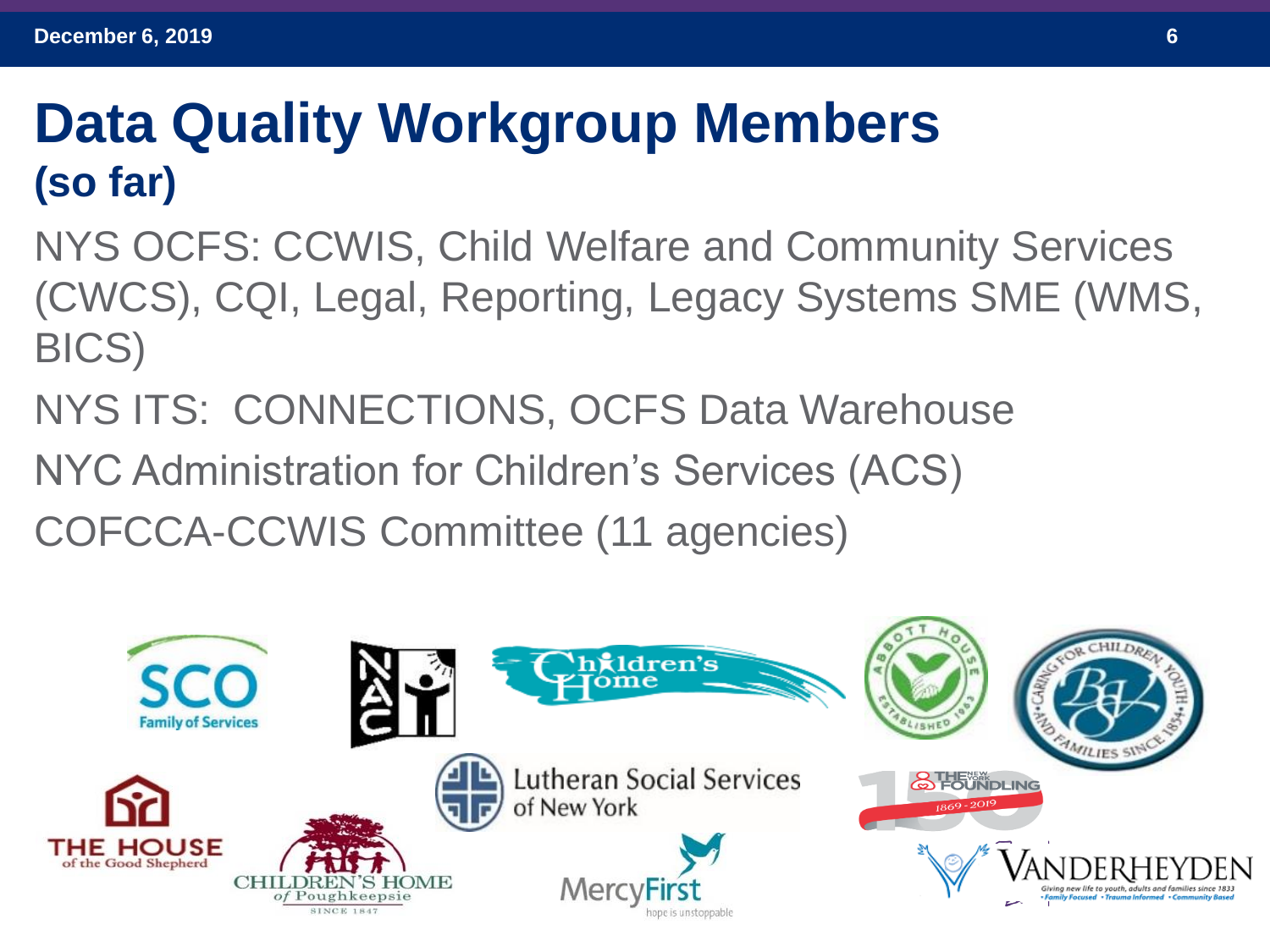#### **Data Quality Workgroup Members (so far)**

NYS OCFS: CCWIS, Child Welfare and Community Services (CWCS), CQI, Legal, Reporting, Legacy Systems SME (WMS, BICS)

- NYS ITS: CONNECTIONS, OCFS Data Warehouse
- NYC Administration for Children's Services (ACS)
- COFCCA-CCWIS Committee (11 agencies)

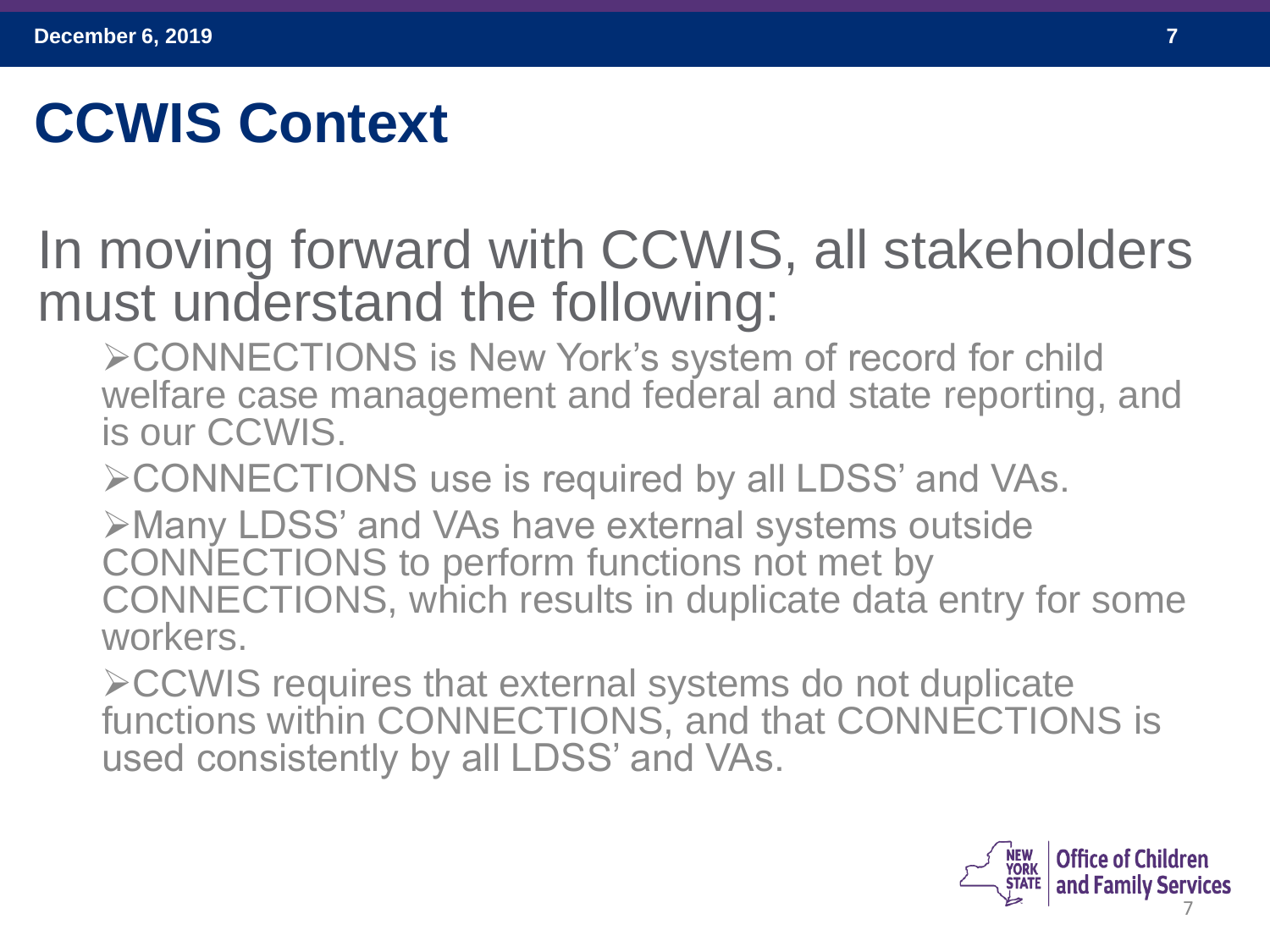## **CCWIS Context**

#### In moving forward with CCWIS, all stakeholders must understand the following:

➢CONNECTIONS is New York's system of record for child welfare case management and federal and state reporting, and is our CCWIS.

➢CONNECTIONS use is required by all LDSS' and VAs.

➢Many LDSS' and VAs have external systems outside CONNECTIONS to perform functions not met by CONNECTIONS, which results in duplicate data entry for some workers.

➢CCWIS requires that external systems do not duplicate functions within CONNECTIONS, and that CONNECTIONS is used consistently by all LDSS' and VAs.

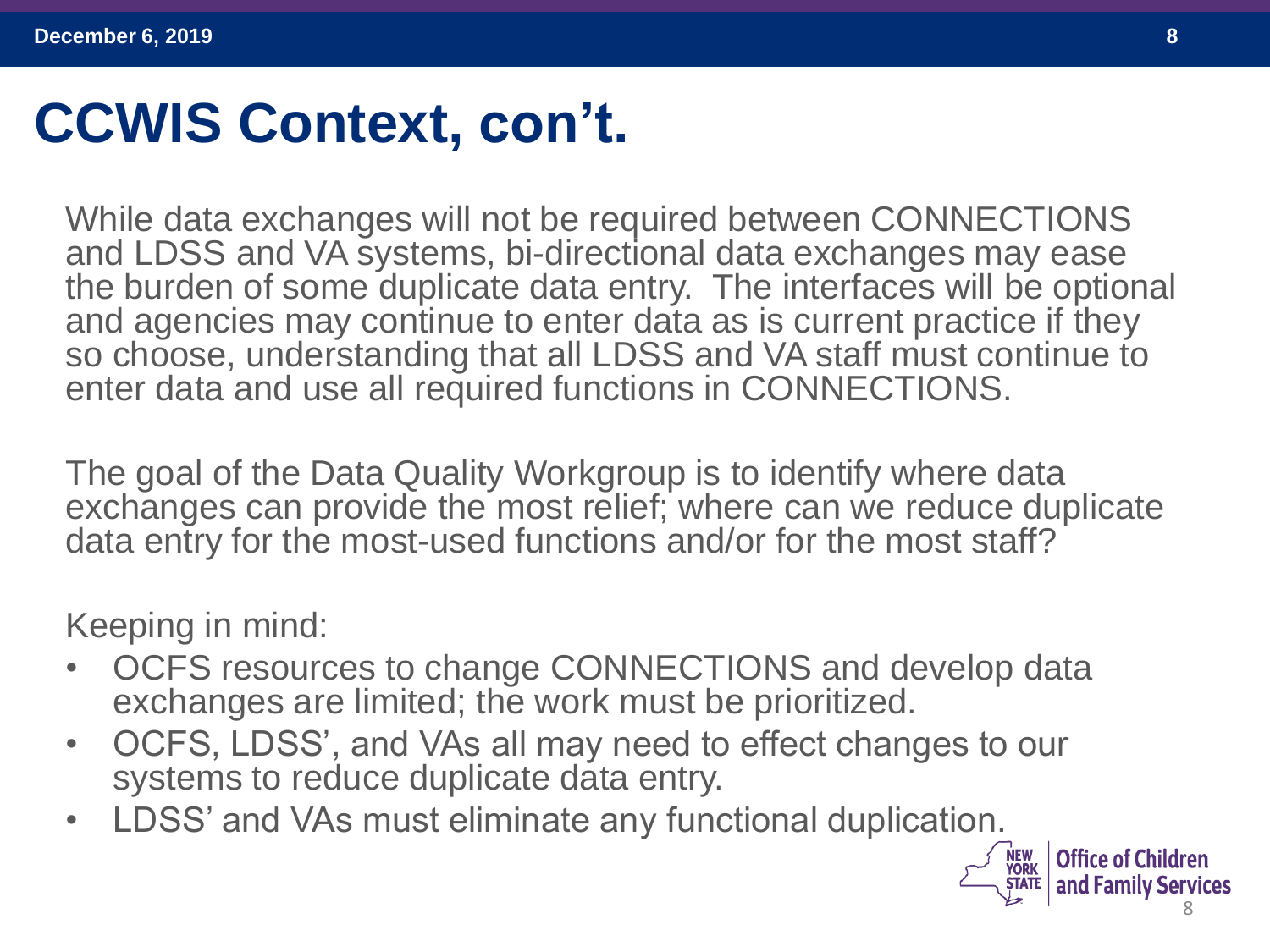### **CCWIS Context, con't.**

While data exchanges will not be required between CONNECTIONS and LDSS and VA systems, bi-directional data exchanges may ease the burden of some duplicate data entry. The interfaces will be optional and agencies may continue to enter data as is current practice if they so choose, understanding that all LDSS and VA staff must continue to enter data and use all required functions in CONNECTIONS.

The goal of the Data Quality Workgroup is to identify where data exchanges can provide the most relief; where can we reduce duplicate data entry for the most-used functions and/or for the most staff?

Keeping in mind:

- OCFS resources to change CONNECTIONS and develop data exchanges are limited; the work must be prioritized.
- OCFS, LDSS', and VAs all may need to effect changes to our systems to reduce duplicate data entry.
- LDSS' and VAs must eliminate any functional duplication.

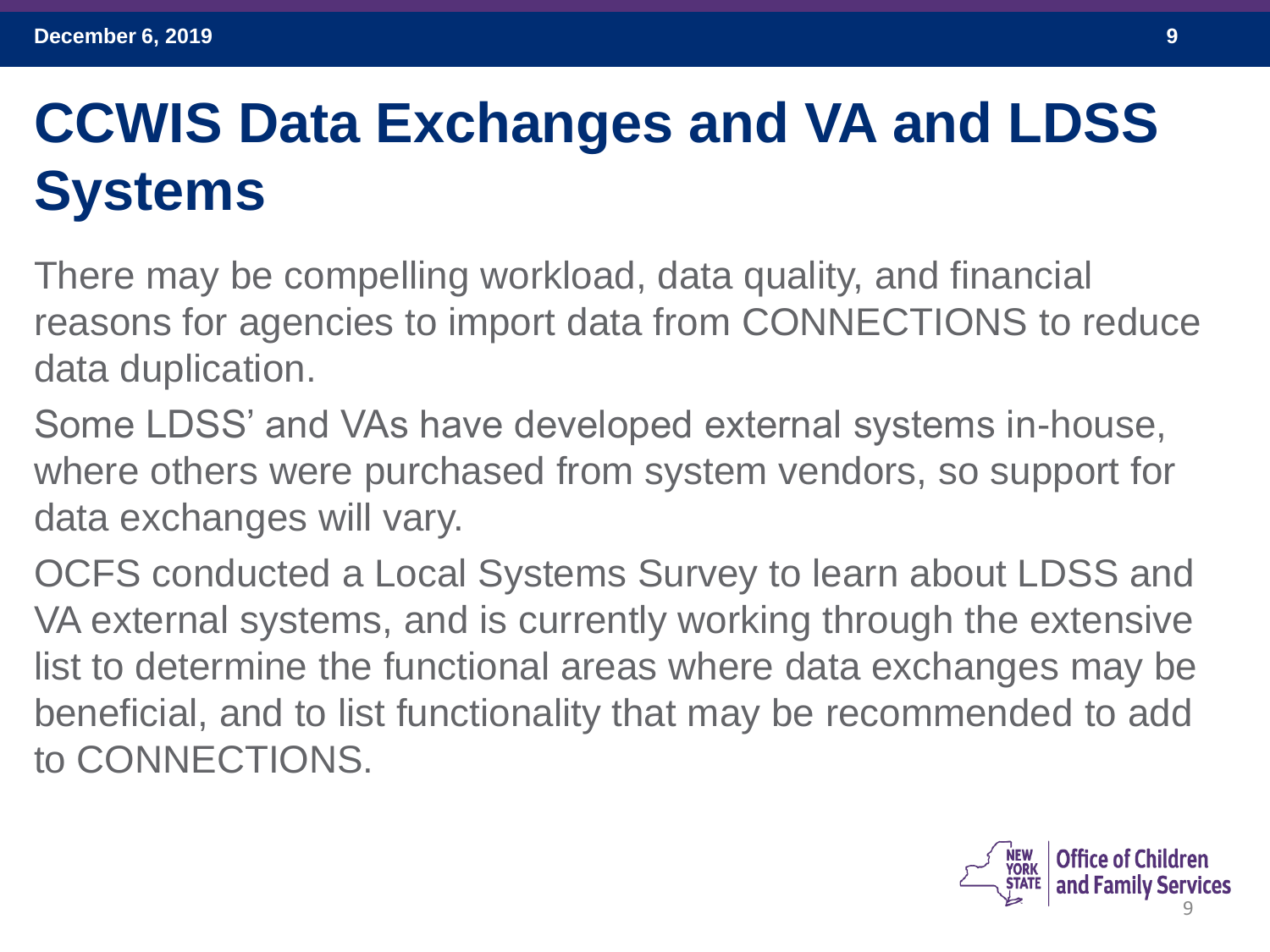## **CCWIS Data Exchanges and VA and LDSS Systems**

There may be compelling workload, data quality, and financial reasons for agencies to import data from CONNECTIONS to reduce data duplication.

Some LDSS' and VAs have developed external systems in-house, where others were purchased from system vendors, so support for data exchanges will vary.

OCFS conducted a Local Systems Survey to learn about LDSS and VA external systems, and is currently working through the extensive list to determine the functional areas where data exchanges may be beneficial, and to list functionality that may be recommended to add to CONNECTIONS.

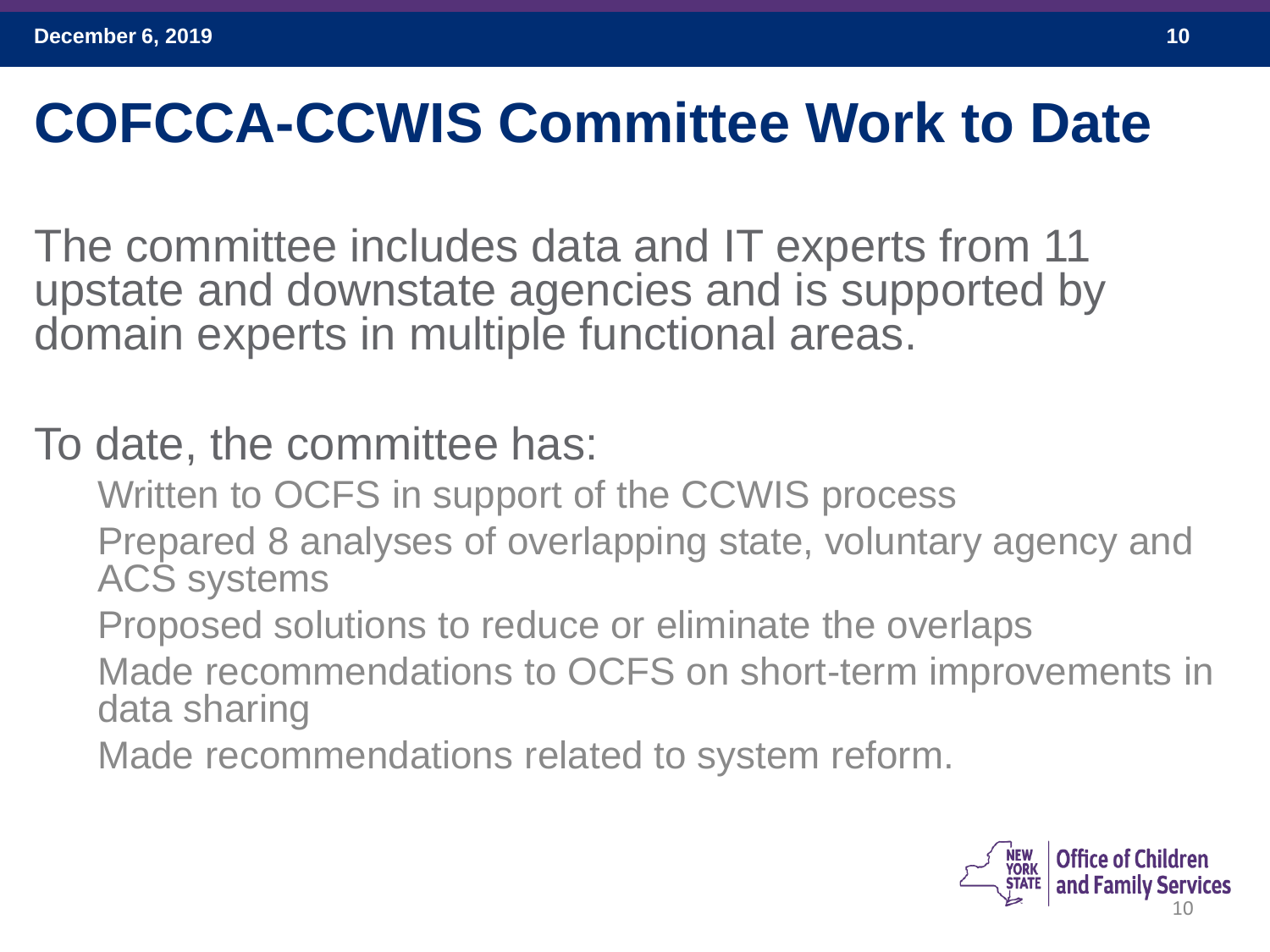### **COFCCA-CCWIS Committee Work to Date**

The committee includes data and IT experts from 11 upstate and downstate agencies and is supported by domain experts in multiple functional areas.

To date, the committee has:

Written to OCFS in support of the CCWIS process

Prepared 8 analyses of overlapping state, voluntary agency and ACS systems

Proposed solutions to reduce or eliminate the overlaps Made recommendations to OCFS on short-term improvements in data sharing

Made recommendations related to system reform.

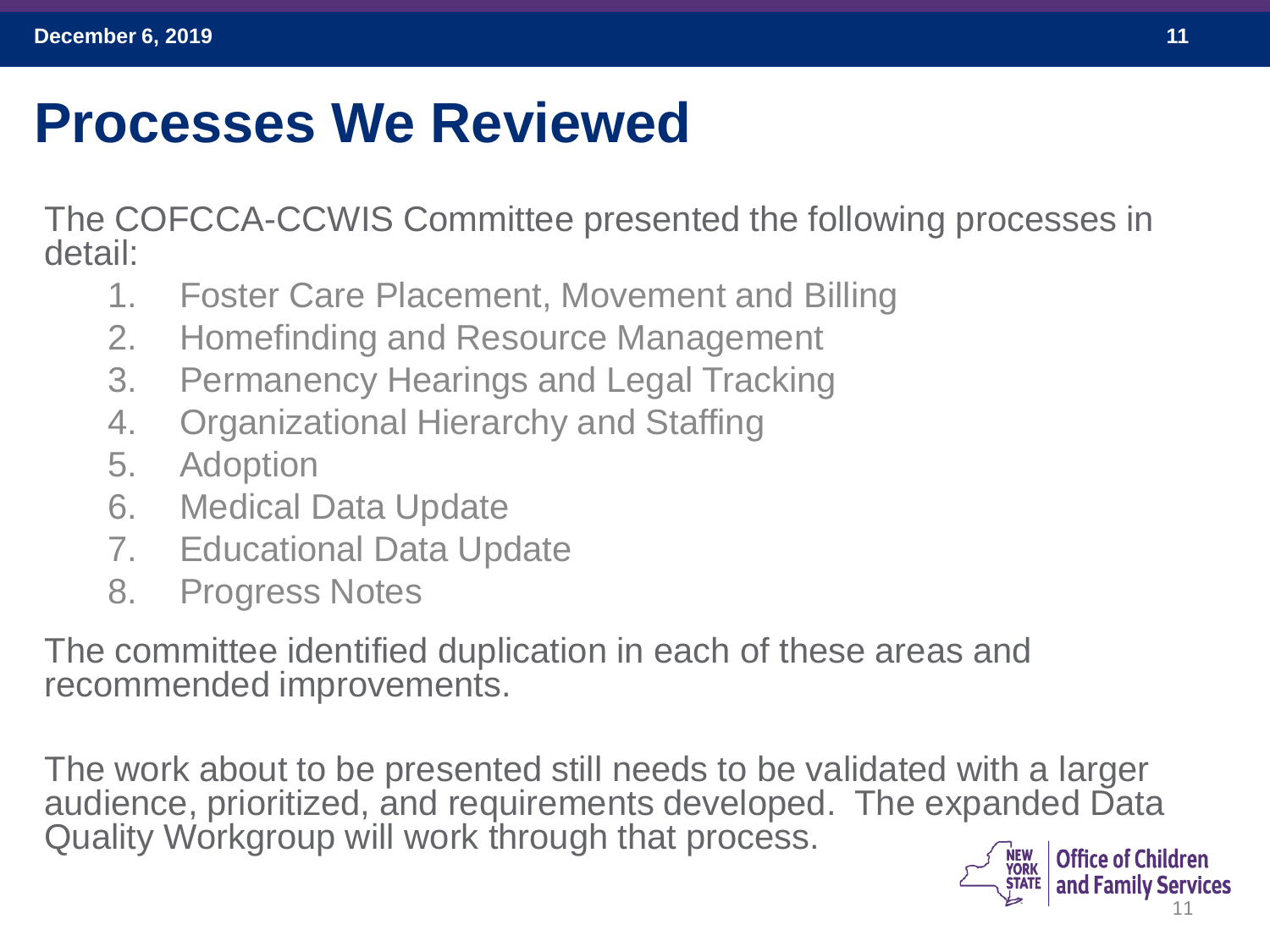#### **Processes We Reviewed**

The COFCCA-CCWIS Committee presented the following processes in detail:

- 1. Foster Care Placement, Movement and Billing
- 2. Homefinding and Resource Management
- 3. Permanency Hearings and Legal Tracking
- 4. Organizational Hierarchy and Staffing
- 5. Adoption
- 6. Medical Data Update
- 7. Educational Data Update
- 8. Progress Notes

The committee identified duplication in each of these areas and recommended improvements.

The work about to be presented still needs to be validated with a larger audience, prioritized, and requirements developed. The expanded Data Quality Workgroup will work through that process.

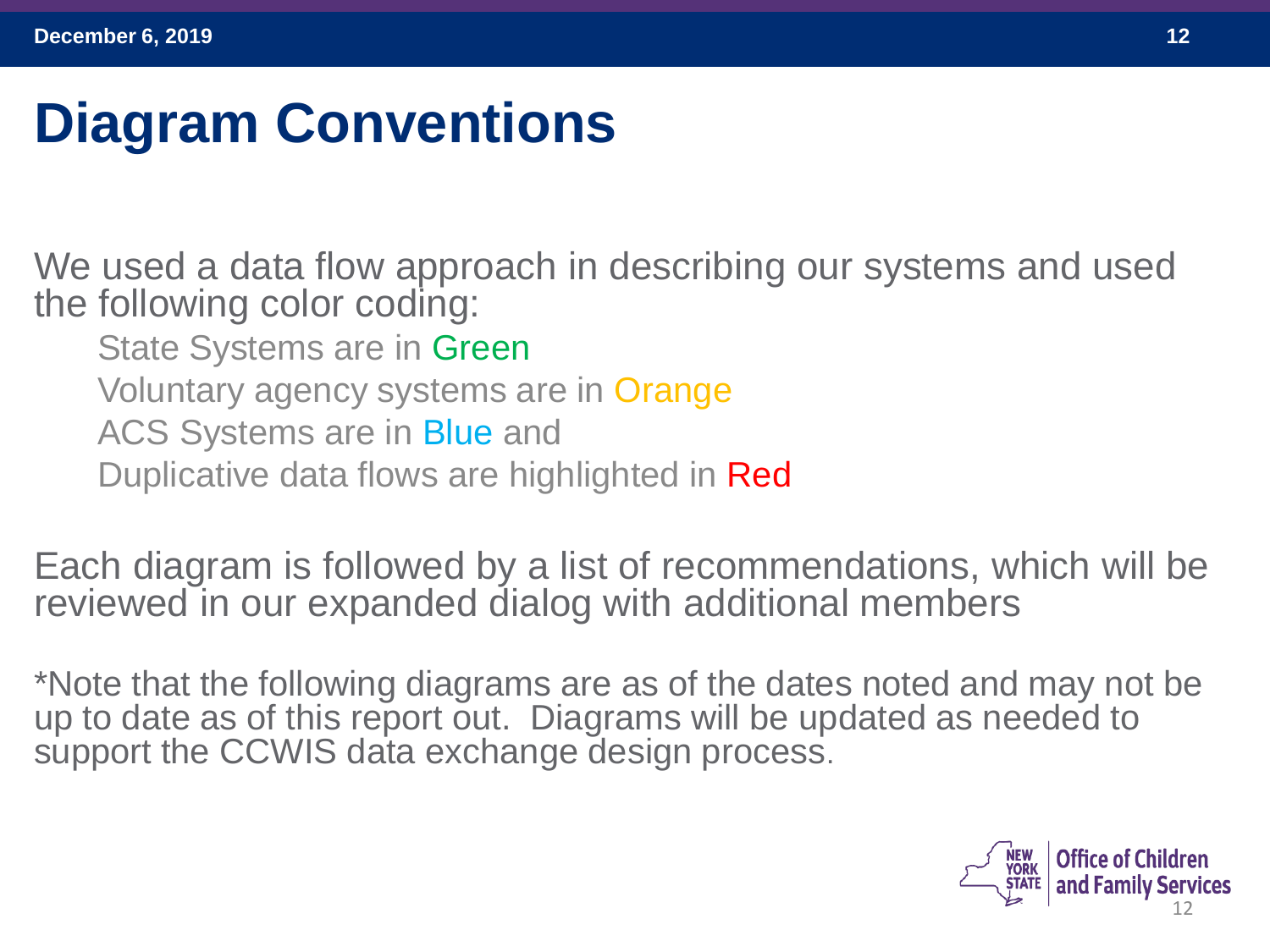## **Diagram Conventions**

We used a data flow approach in describing our systems and used the following color coding:

State Systems are in Green

Voluntary agency systems are in Orange

ACS Systems are in Blue and

Duplicative data flows are highlighted in **Red** 

Each diagram is followed by a list of recommendations, which will be reviewed in our expanded dialog with additional members

\*Note that the following diagrams are as of the dates noted and may not be up to date as of this report out. Diagrams will be updated as needed to support the CCWIS data exchange design process.

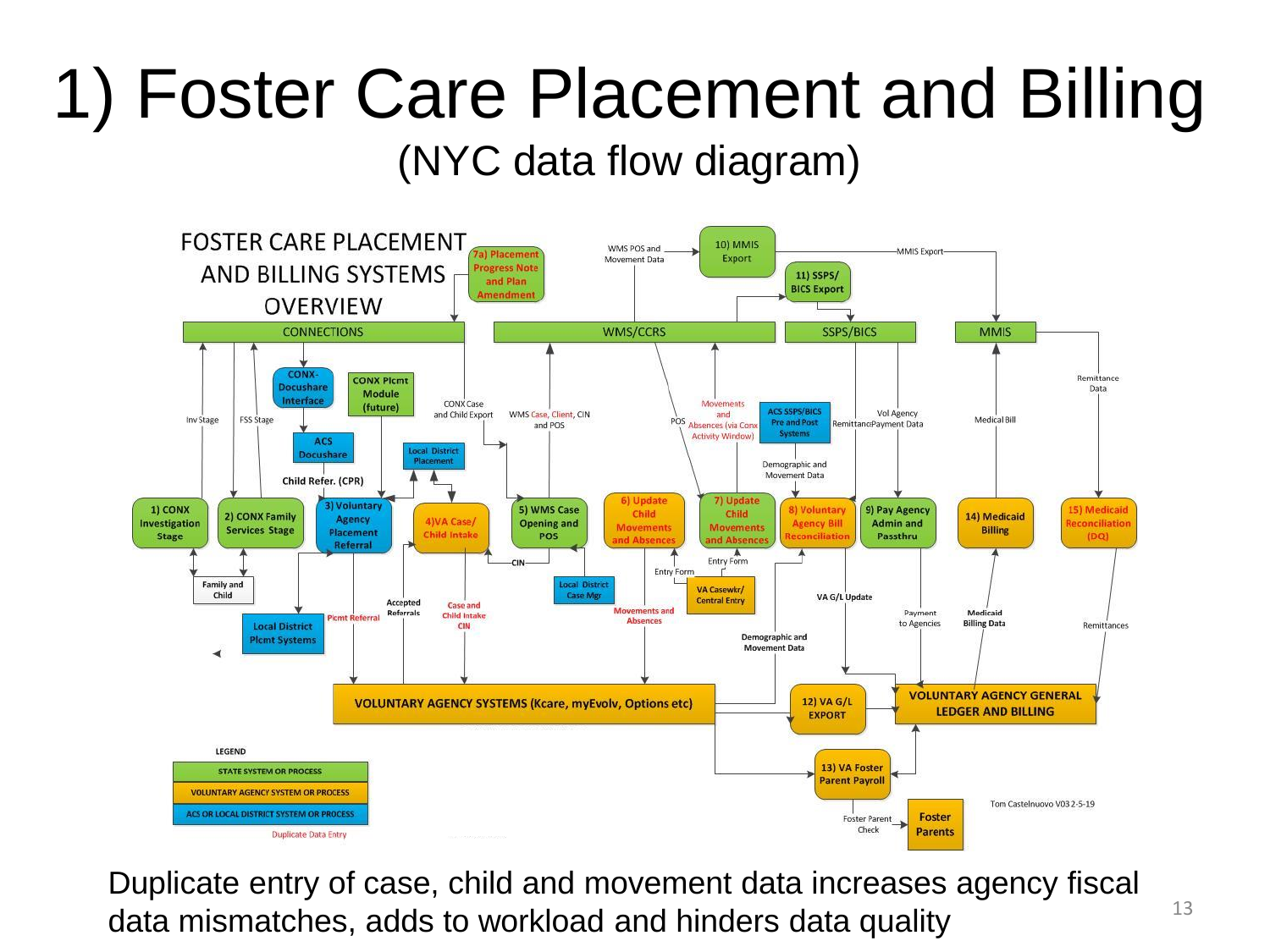# 1) Foster Care Placement and Billing

#### (NYC data flow diagram)



Duplicate entry of case, child and movement data increases agency fiscal data mismatches, adds to workload and hinders data quality  $13$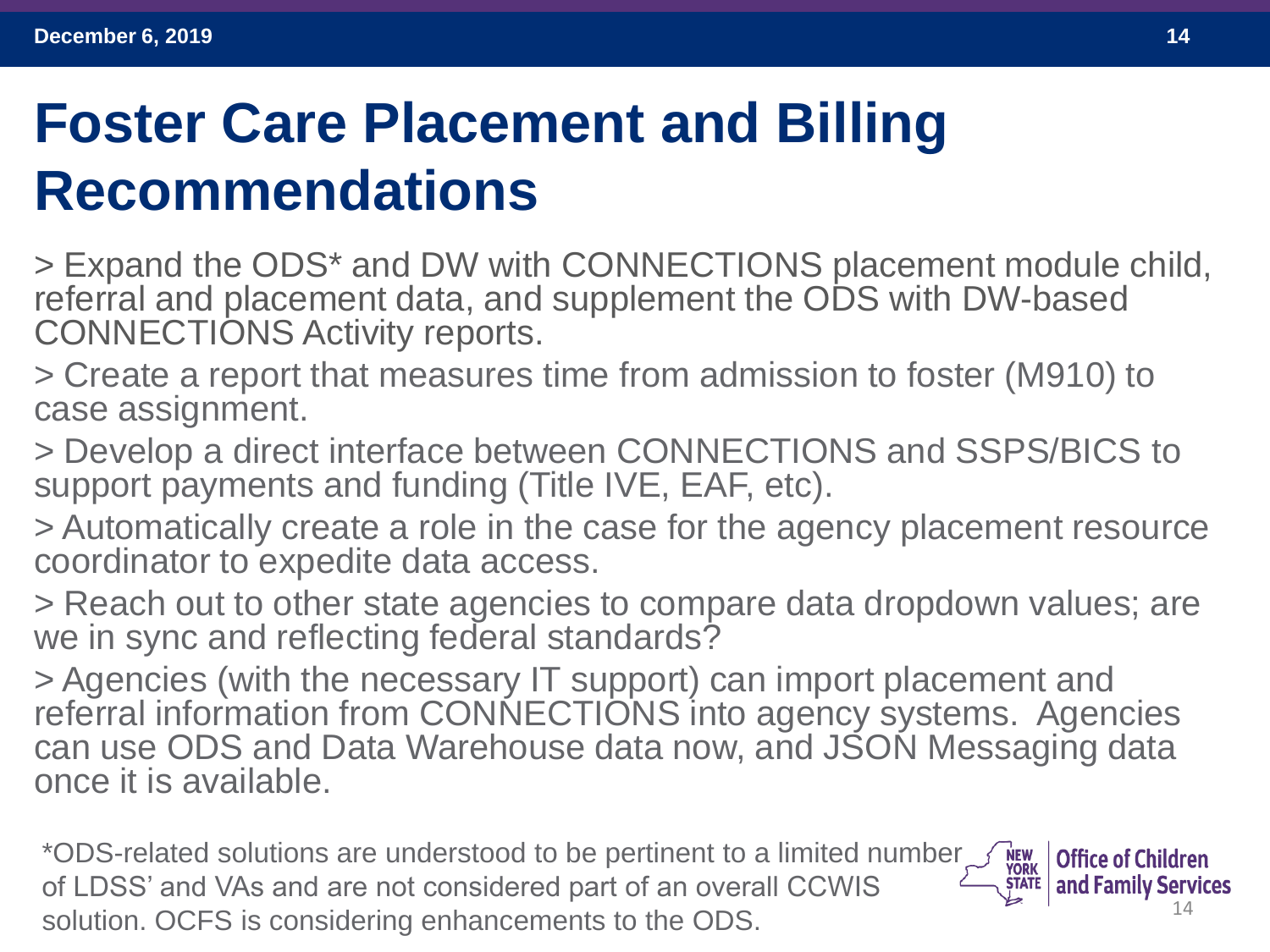### **Foster Care Placement and Billing Recommendations**

> Expand the ODS\* and DW with CONNECTIONS placement module child, referral and placement data, and supplement the ODS with DW-based CONNECTIONS Activity reports.

> Create a report that measures time from admission to foster (M910) to case assignment.

> Develop a direct interface between CONNECTIONS and SSPS/BICS to support payments and funding (Title IVE, EAF, etc).

> Automatically create a role in the case for the agency placement resource coordinator to expedite data access.

> Reach out to other state agencies to compare data dropdown values; are we in sync and reflecting federal standards?

> Agencies (with the necessary IT support) can import placement and referral information from CONNECTIONS into agency systems. Agencies can use ODS and Data Warehouse data now, and JSON Messaging data once it is available.

\*ODS-related solutions are understood to be pertinent to a limited number **NEW<br>YORK<br>STATE Office of Children** of LDSS' and VAs and are not considered part of an overall CCWIS and Family Services 14 solution. OCFS is considering enhancements to the ODS.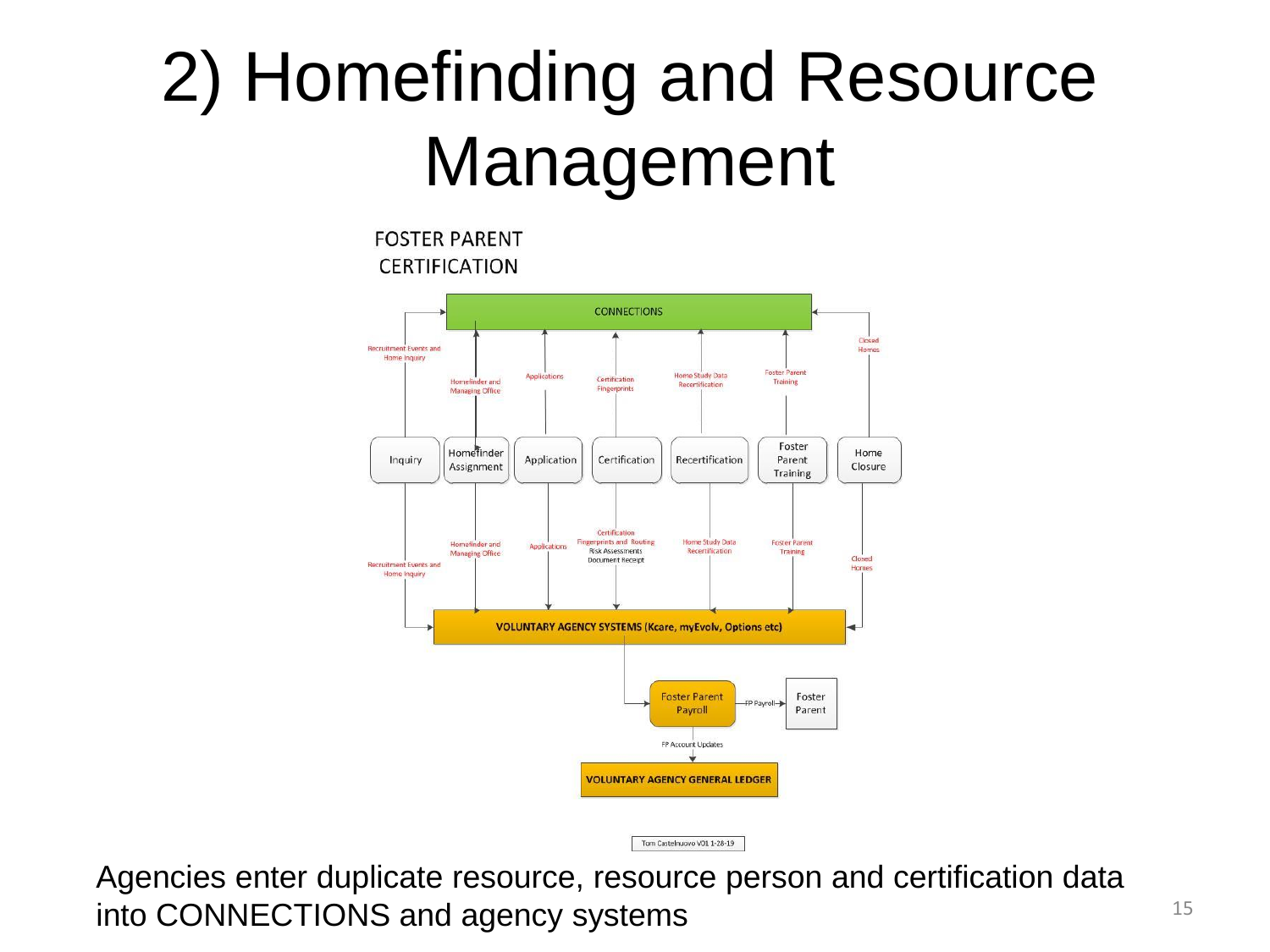# 2) Homefinding and Resource Management

**FOSTER PARENT CERTIFICATION** 



Agencies enter duplicate resource, resource person and certification data into CONNECTIONS and agency systems 15

Tom Castelnuovo V01 1-28-19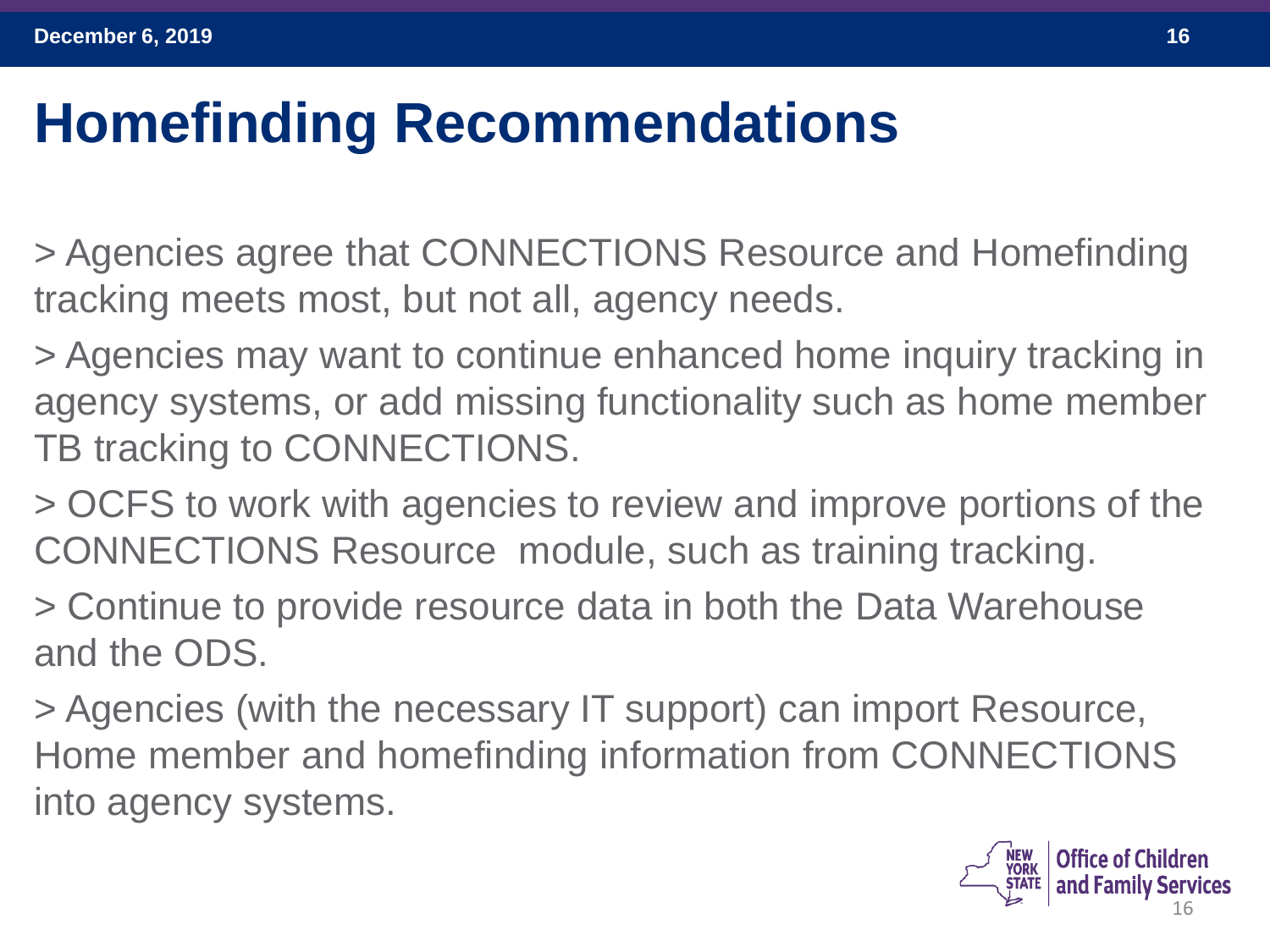### **Homefinding Recommendations**

> Agencies agree that CONNECTIONS Resource and Homefinding tracking meets most, but not all, agency needs.

> Agencies may want to continue enhanced home inquiry tracking in agency systems, or add missing functionality such as home member TB tracking to CONNECTIONS.

> OCFS to work with agencies to review and improve portions of the CONNECTIONS Resource module, such as training tracking.

> Continue to provide resource data in both the Data Warehouse and the ODS.

> Agencies (with the necessary IT support) can import Resource, Home member and homefinding information from CONNECTIONS into agency systems.

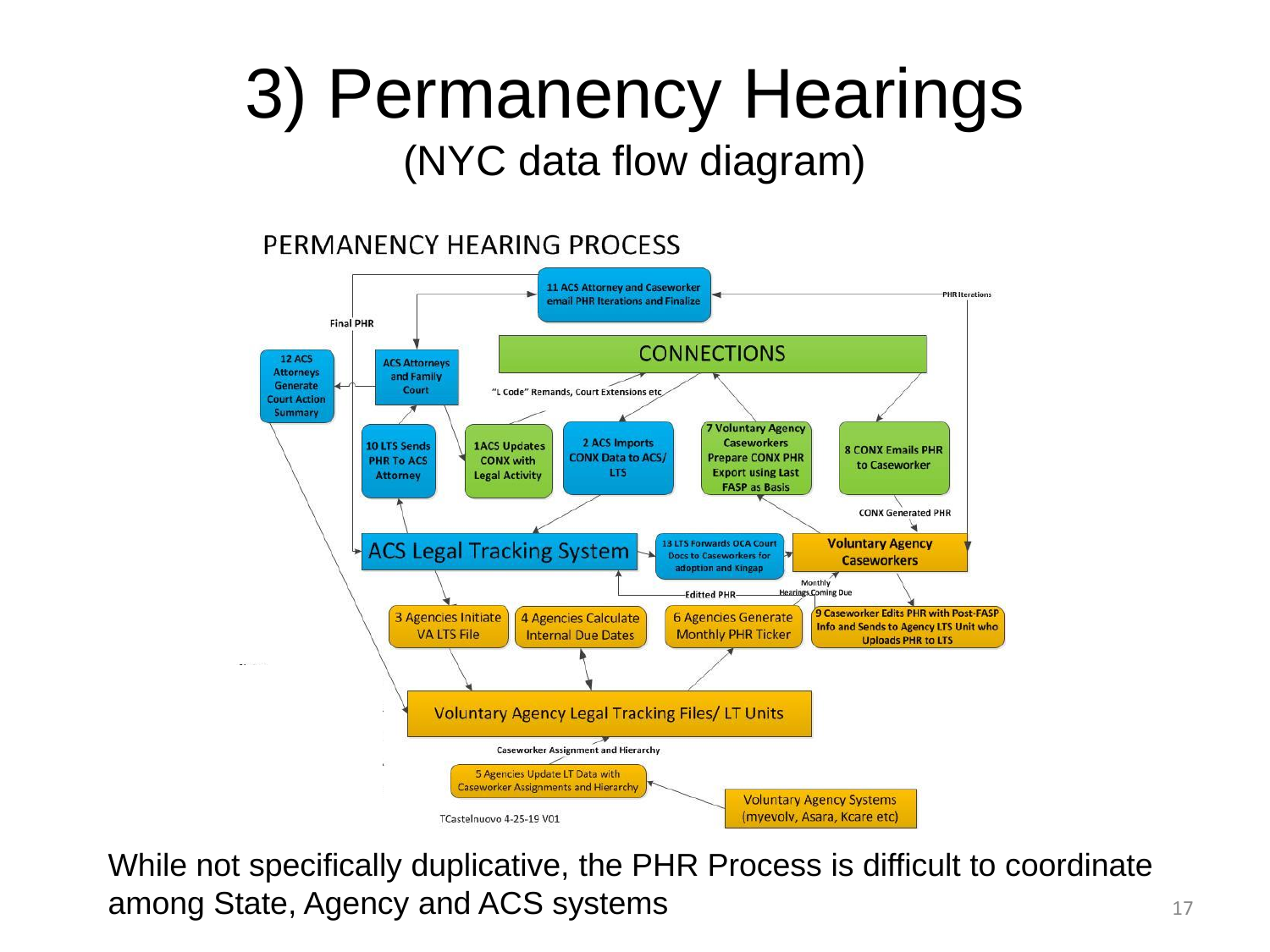## 3) Permanency Hearings (NYC data flow diagram)

#### PERMANENCY HEARING PROCESS



While not specifically duplicative, the PHR Process is difficult to coordinate among State, Agency and ACS systems 17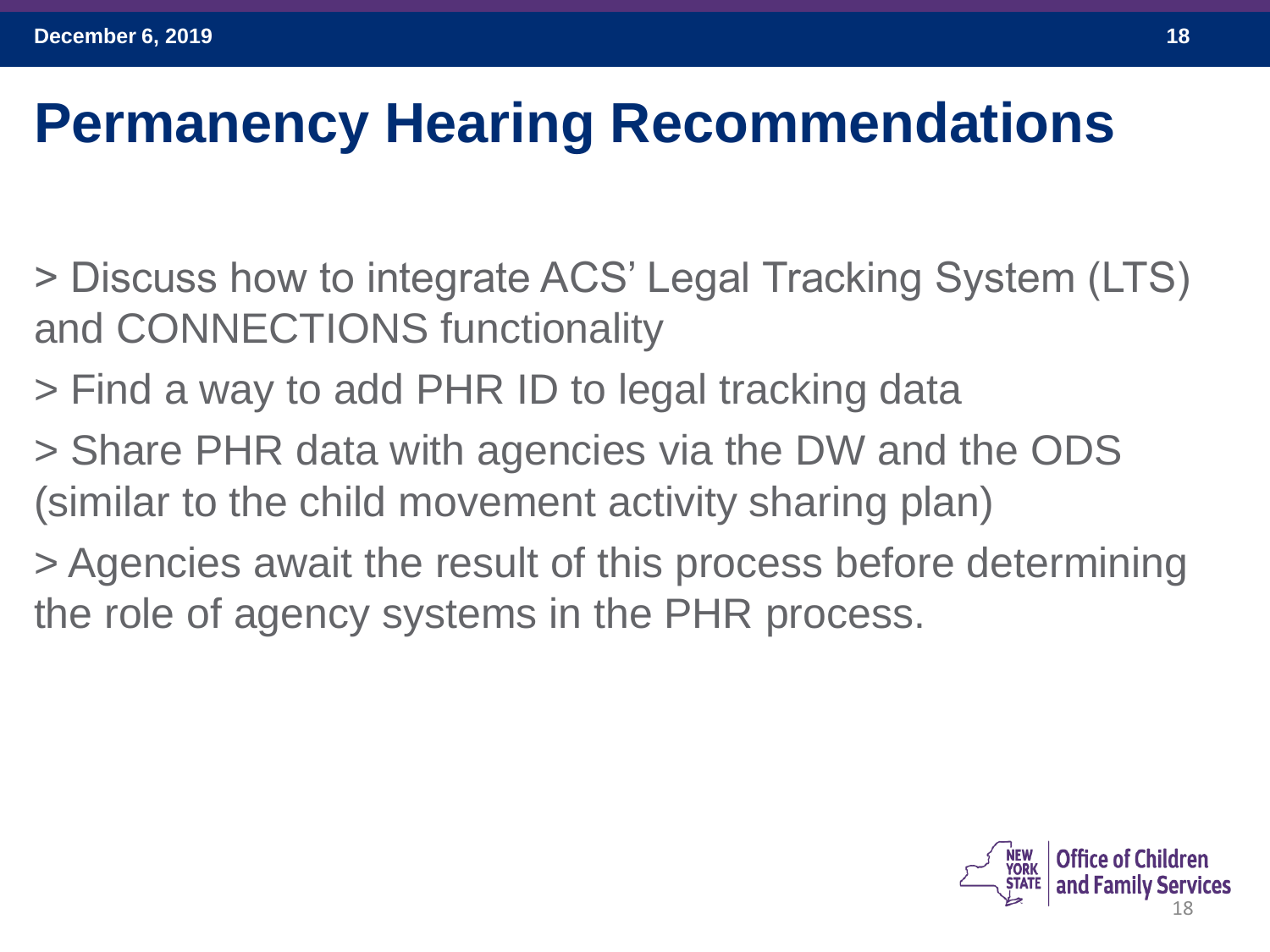### **Permanency Hearing Recommendations**

- > Discuss how to integrate ACS' Legal Tracking System (LTS) and CONNECTIONS functionality
- > Find a way to add PHR ID to legal tracking data
- > Share PHR data with agencies via the DW and the ODS (similar to the child movement activity sharing plan)
- > Agencies await the result of this process before determining the role of agency systems in the PHR process.

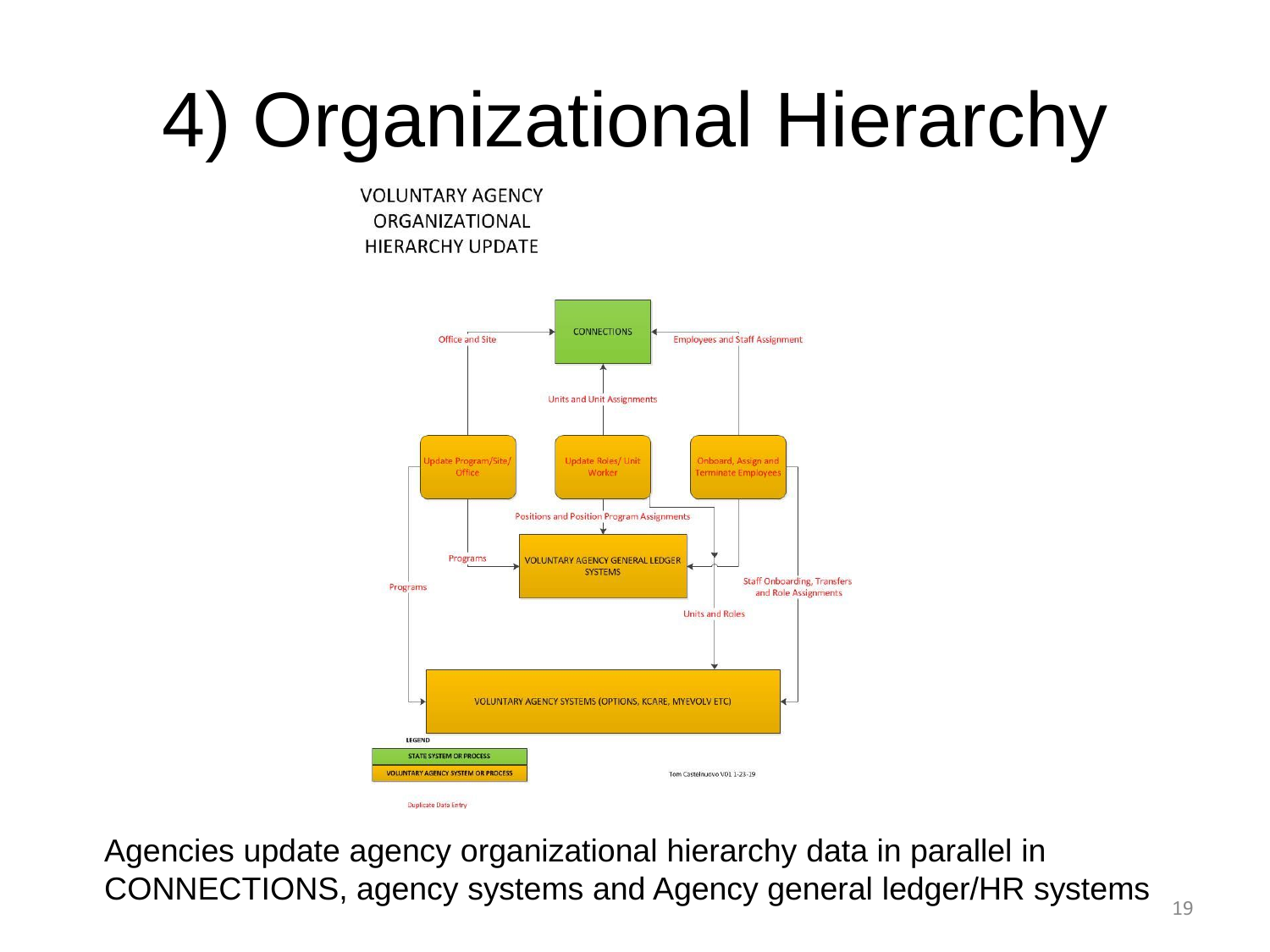# 4) Organizational Hierarchy

**VOLUNTARY AGENCY** ORGANIZATIONAL **HIERARCHY UPDATE** 



Agencies update agency organizational hierarchy data in parallel in CONNECTIONS, agency systems and Agency general ledger/HR systems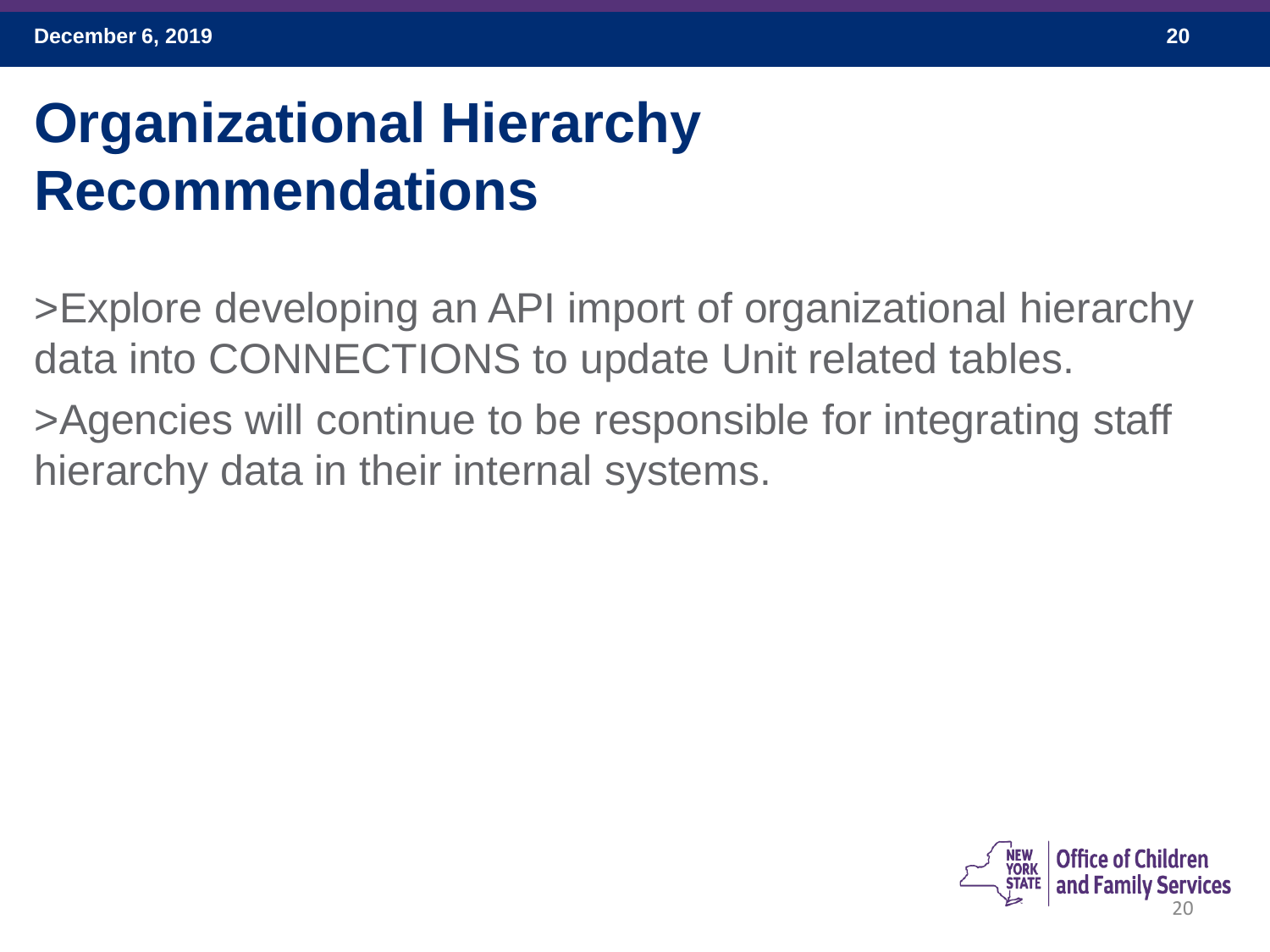## **Organizational Hierarchy Recommendations**

>Explore developing an API import of organizational hierarchy data into CONNECTIONS to update Unit related tables.

>Agencies will continue to be responsible for integrating staff hierarchy data in their internal systems.

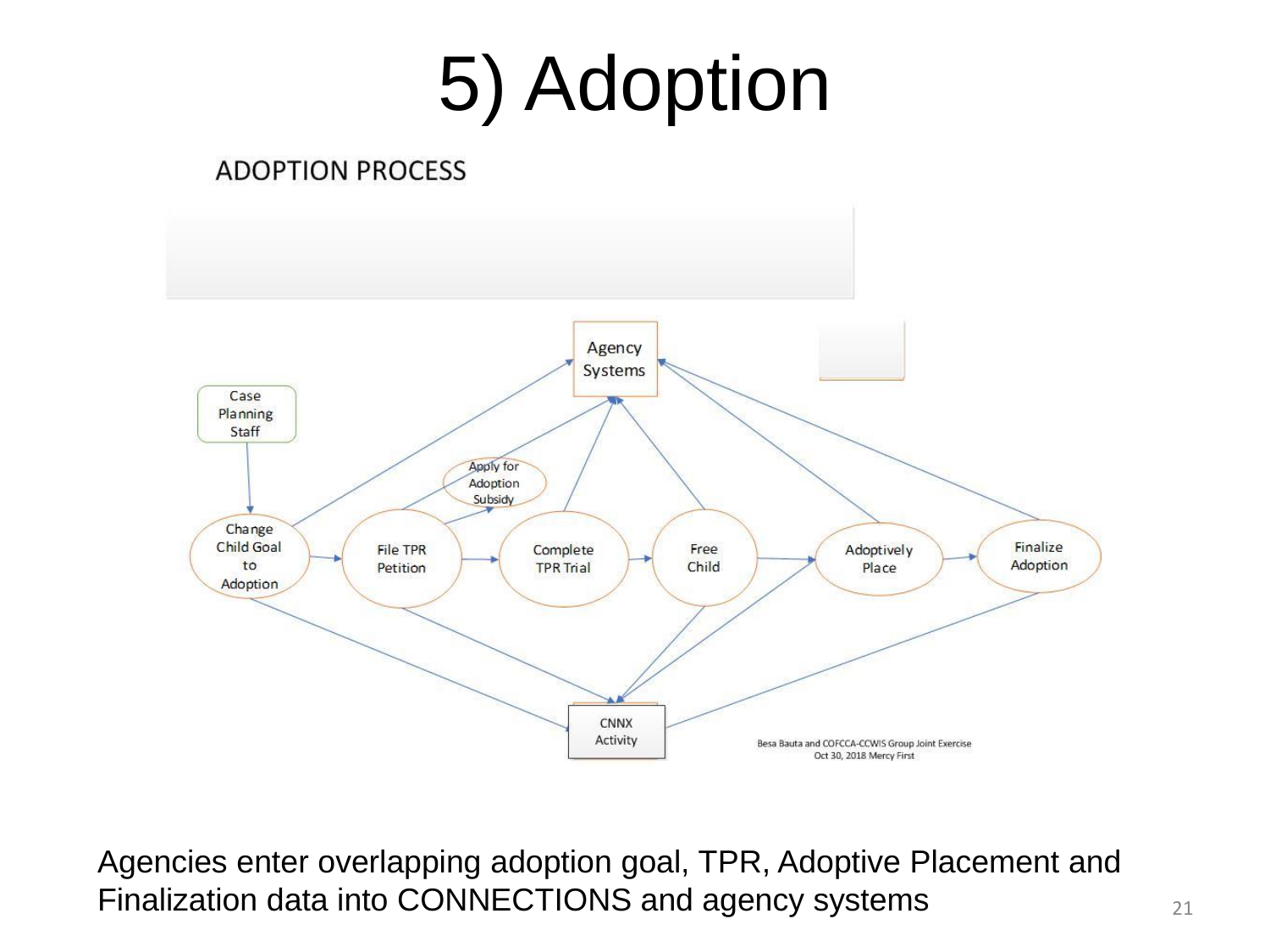# 5) Adoption

#### **ADOPTION PROCESS**



Agencies enter overlapping adoption goal, TPR, Adoptive Placement and Finalization data into CONNECTIONS and agency systems  $21$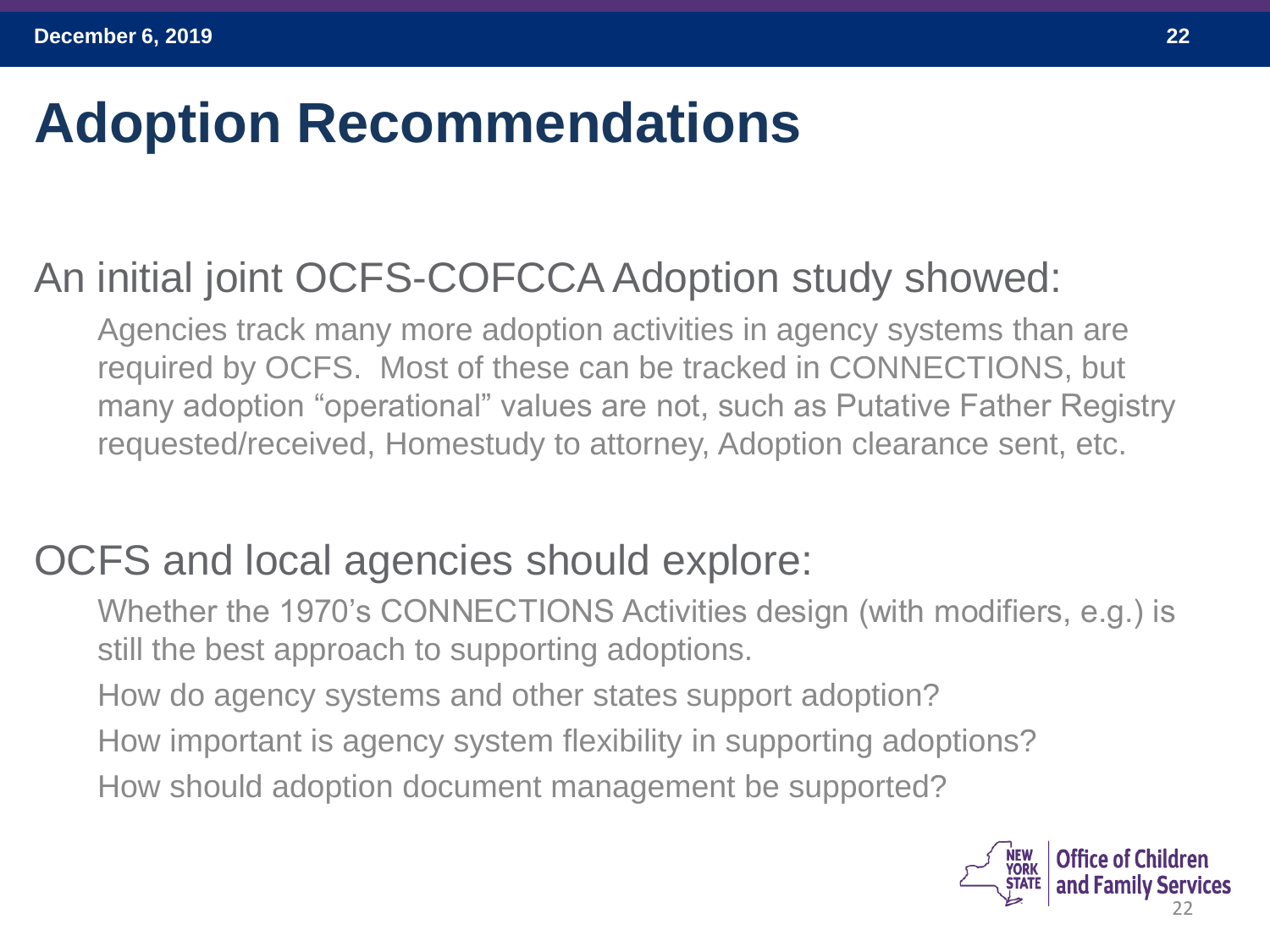### **Adoption Recommendations**

#### An initial joint OCFS-COFCCA Adoption study showed:

Agencies track many more adoption activities in agency systems than are required by OCFS. Most of these can be tracked in CONNECTIONS, but many adoption "operational" values are not, such as Putative Father Registry requested/received, Homestudy to attorney, Adoption clearance sent, etc.

#### OCFS and local agencies should explore:

Whether the 1970's CONNECTIONS Activities design (with modifiers, e.g.) is still the best approach to supporting adoptions. How do agency systems and other states support adoption? How important is agency system flexibility in supporting adoptions? How should adoption document management be supported?

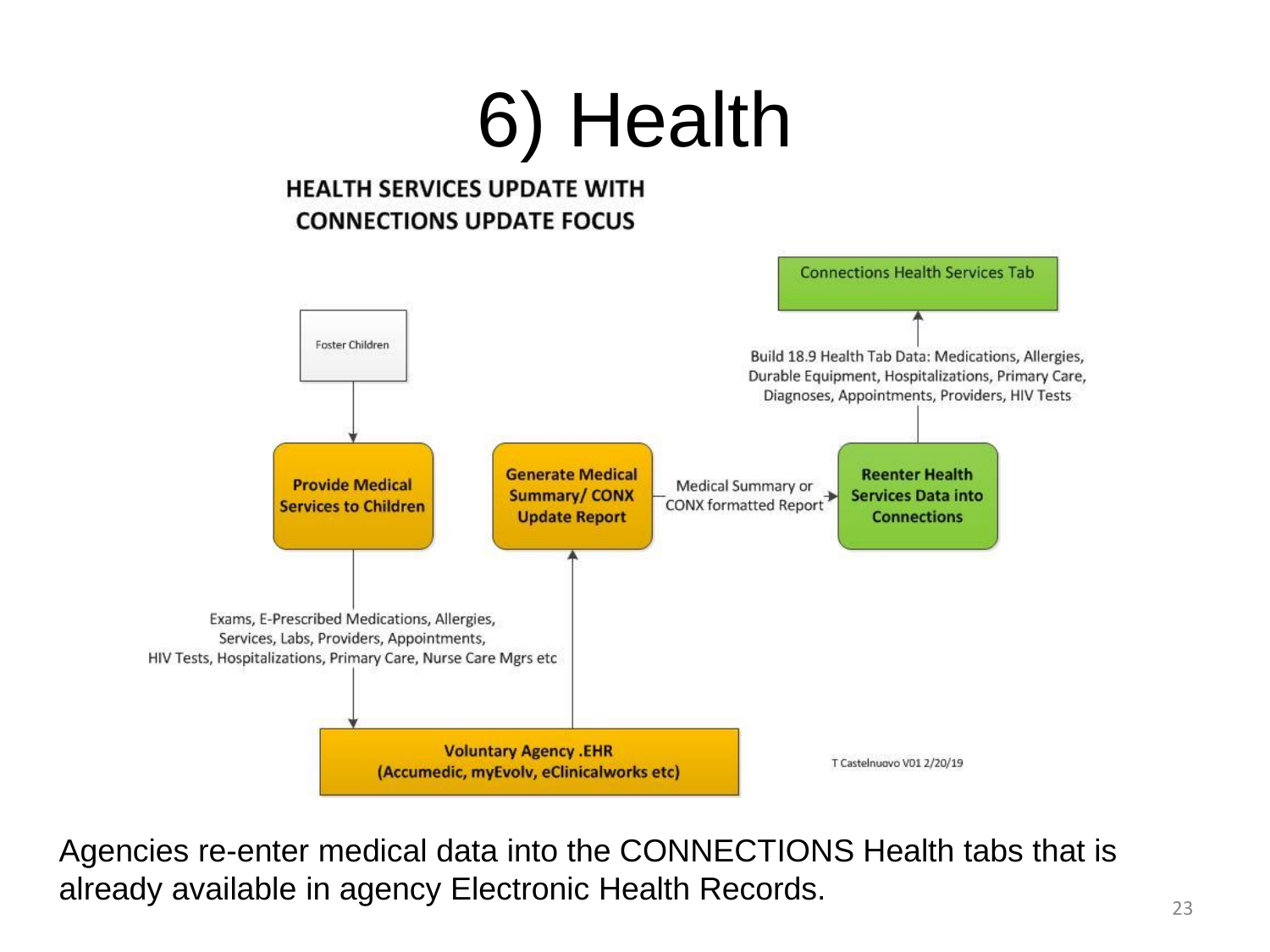

Agencies re-enter medical data into the CONNECTIONS Health tabs that is already available in agency Electronic Health Records.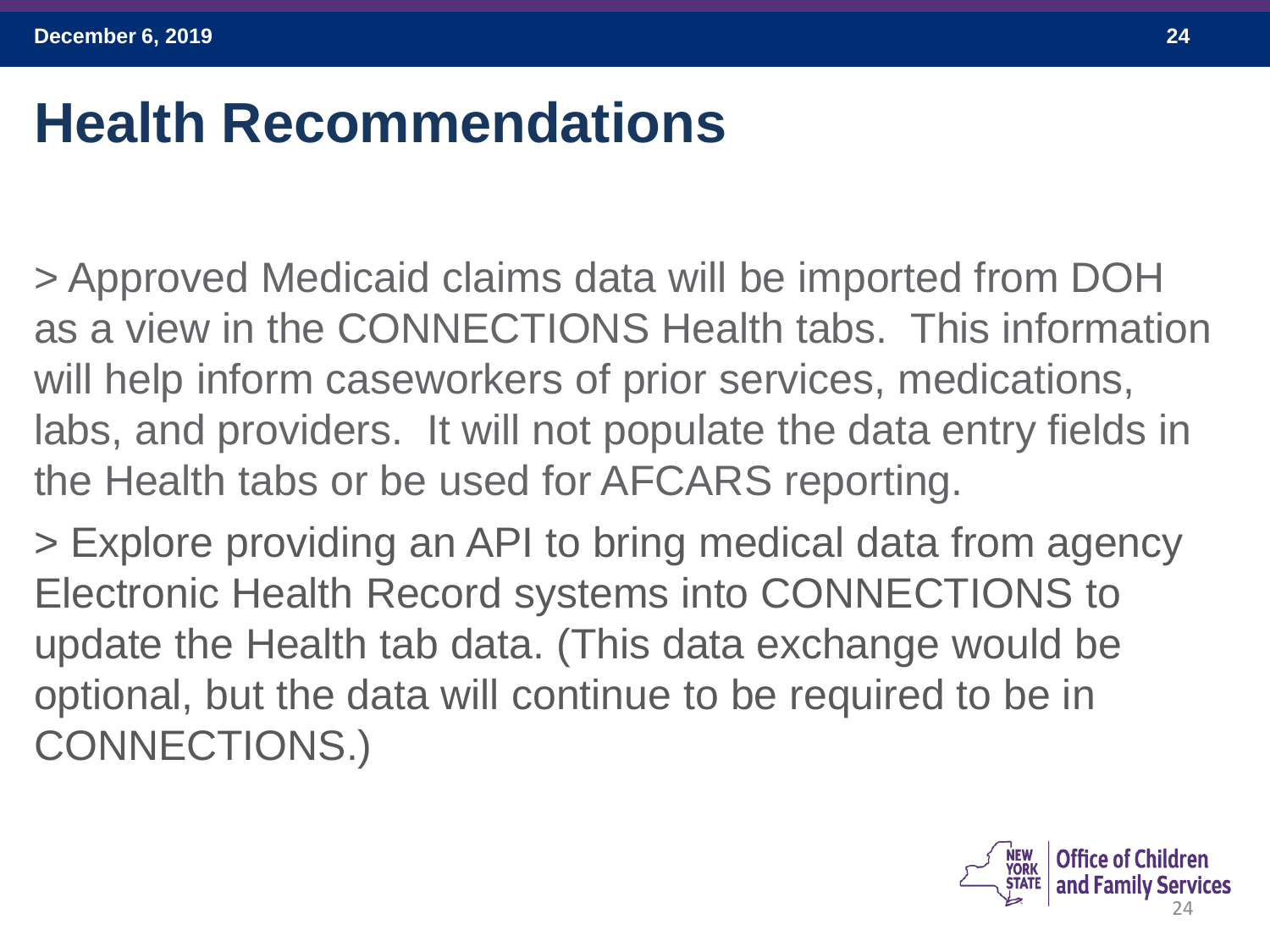#### **Health Recommendations**

> Approved Medicaid claims data will be imported from DOH as a view in the CONNECTIONS Health tabs. This information will help inform caseworkers of prior services, medications, labs, and providers. It will not populate the data entry fields in the Health tabs or be used for AFCARS reporting.

> Explore providing an API to bring medical data from agency Electronic Health Record systems into CONNECTIONS to update the Health tab data. (This data exchange would be optional, but the data will continue to be required to be in CONNECTIONS.)

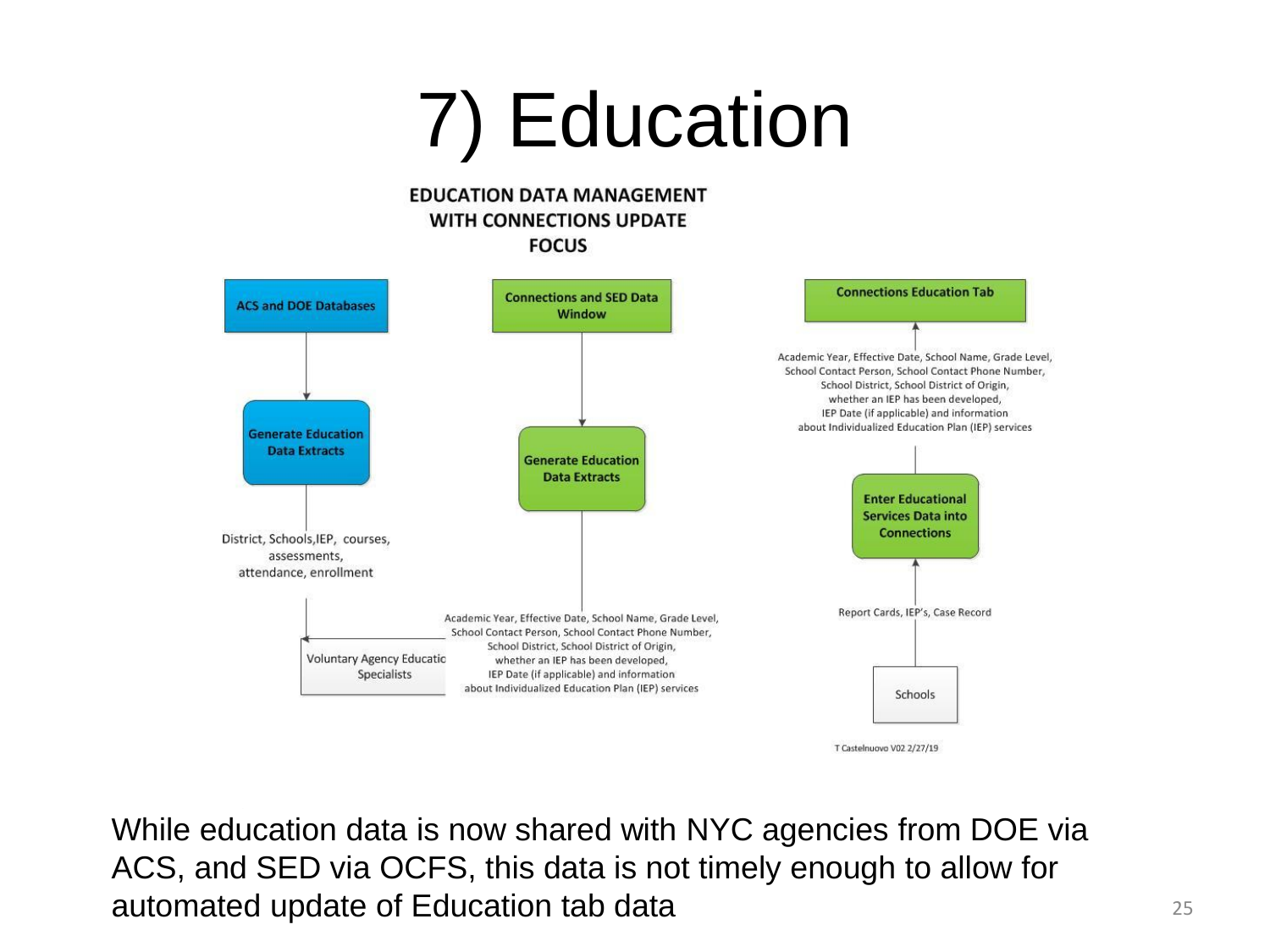# 7) Education

#### **EDUCATION DATA MANAGEMENT WITH CONNECTIONS UPDATE FOCUS**



While education data is now shared with NYC agencies from DOE via ACS, and SED via OCFS, this data is not timely enough to allow for automated update of Education tab data <sup>25</sup>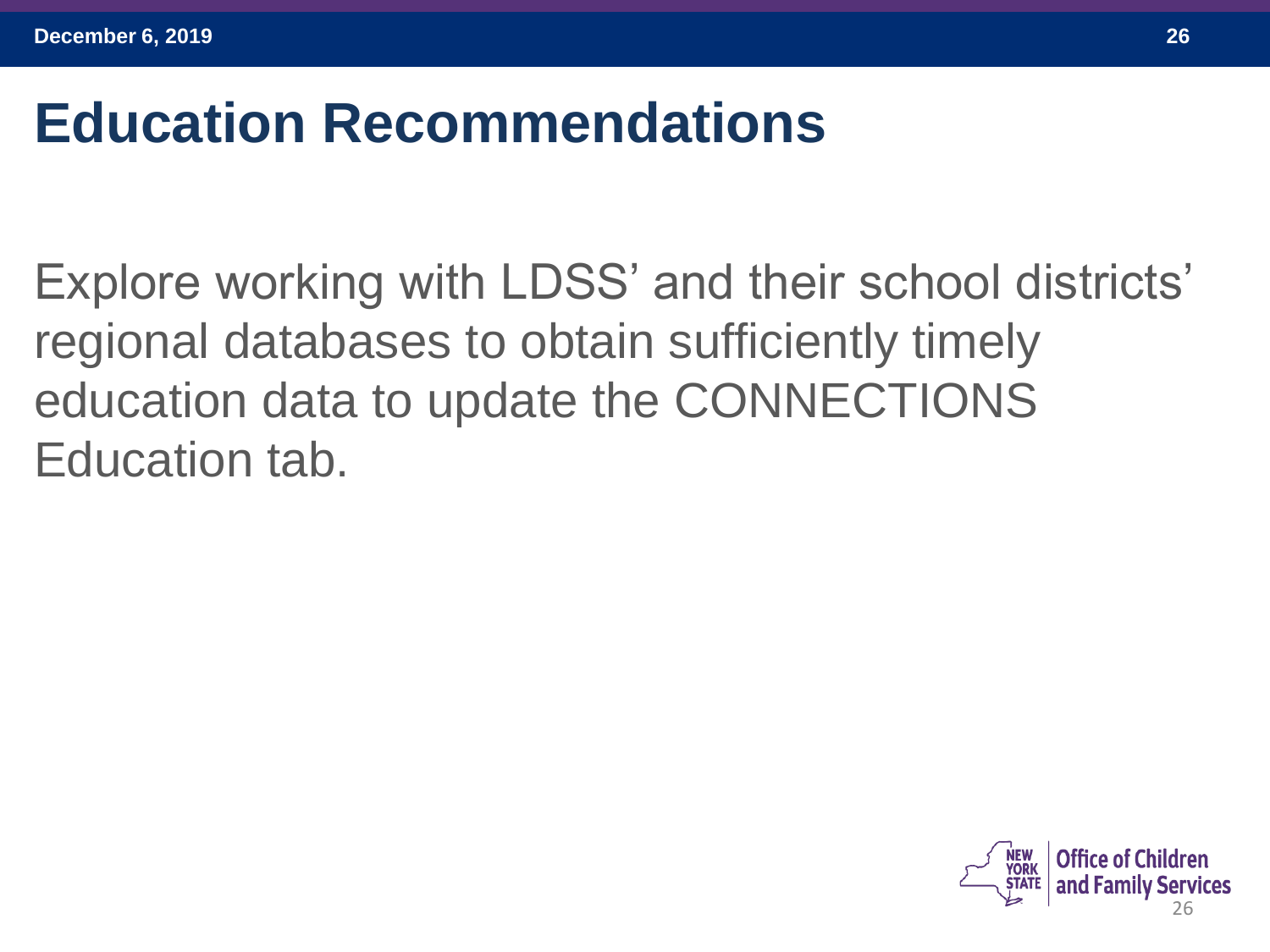#### **Education Recommendations**

Explore working with LDSS' and their school districts' regional databases to obtain sufficiently timely education data to update the CONNECTIONS Education tab.

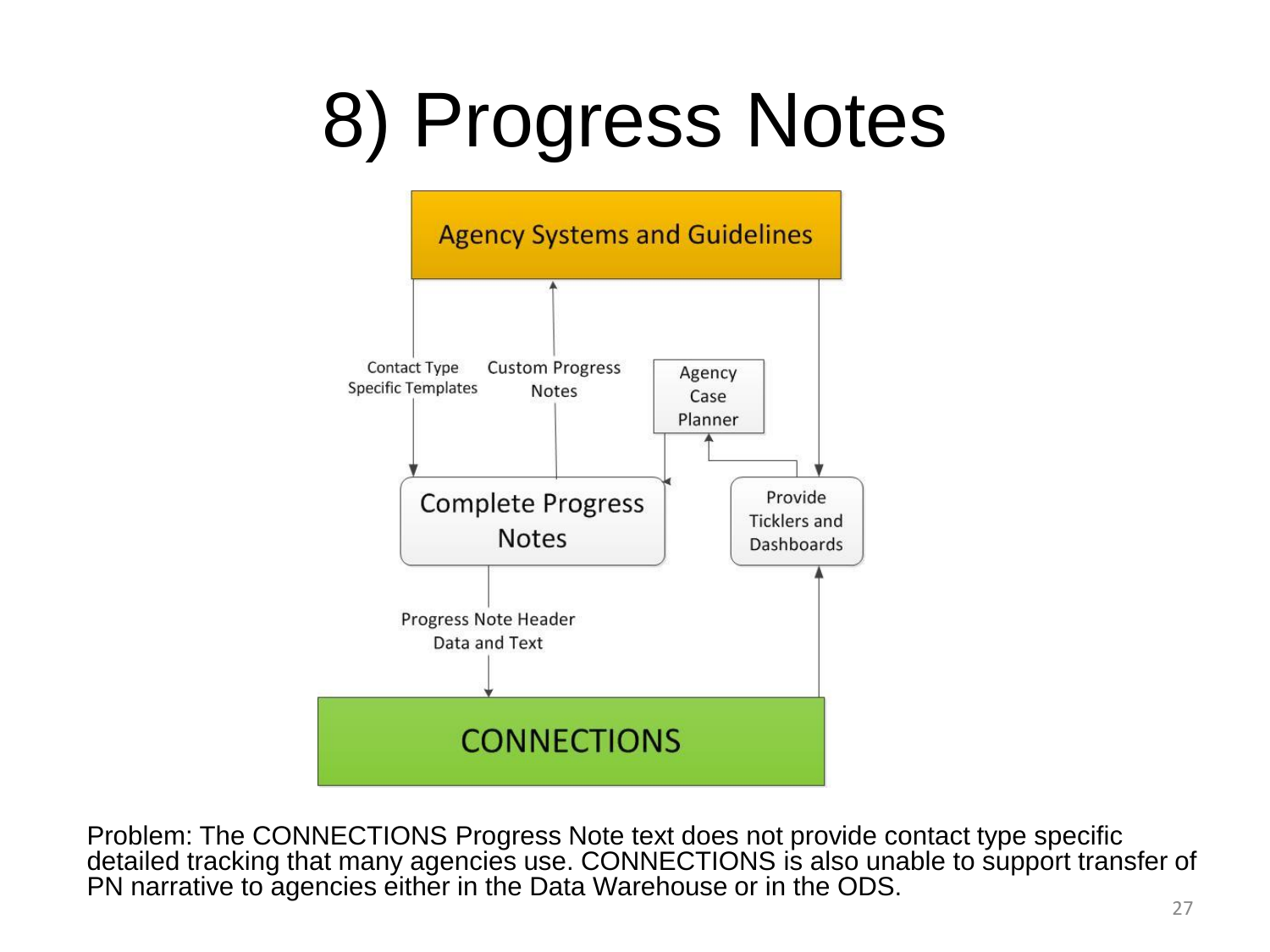# 8) Progress Notes



Problem: The CONNECTIONS Progress Note text does not provide contact type specific detailed tracking that many agencies use. CONNECTIONS is also unable to support transfer of PN narrative to agencies either in the Data Warehouse or in the ODS.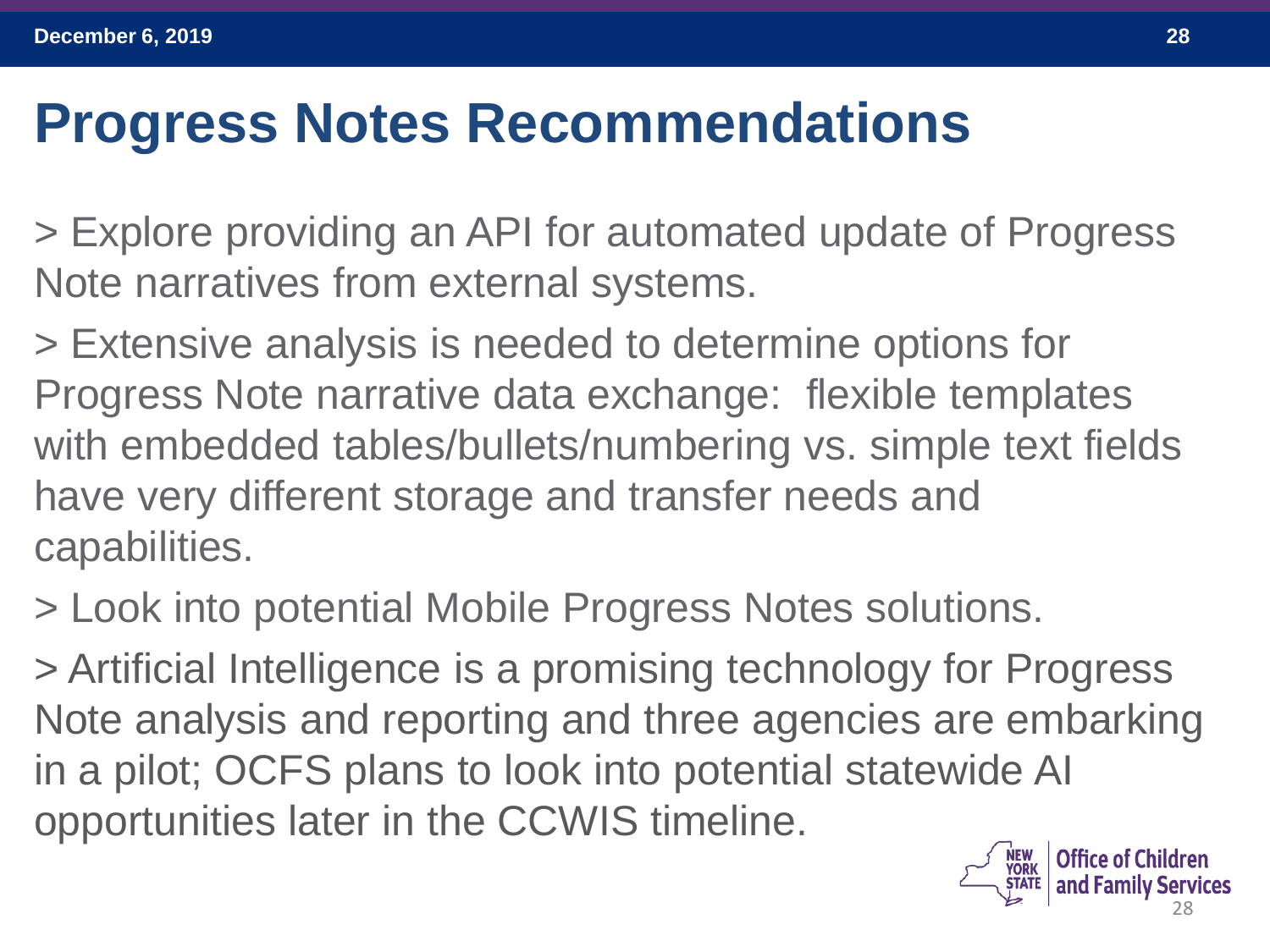#### **Progress Notes Recommendations**

> Explore providing an API for automated update of Progress Note narratives from external systems.

> Extensive analysis is needed to determine options for Progress Note narrative data exchange: flexible templates with embedded tables/bullets/numbering vs. simple text fields have very different storage and transfer needs and capabilities.

> Look into potential Mobile Progress Notes solutions.

> Artificial Intelligence is a promising technology for Progress Note analysis and reporting and three agencies are embarking in a pilot; OCFS plans to look into potential statewide AI opportunities later in the CCWIS timeline.

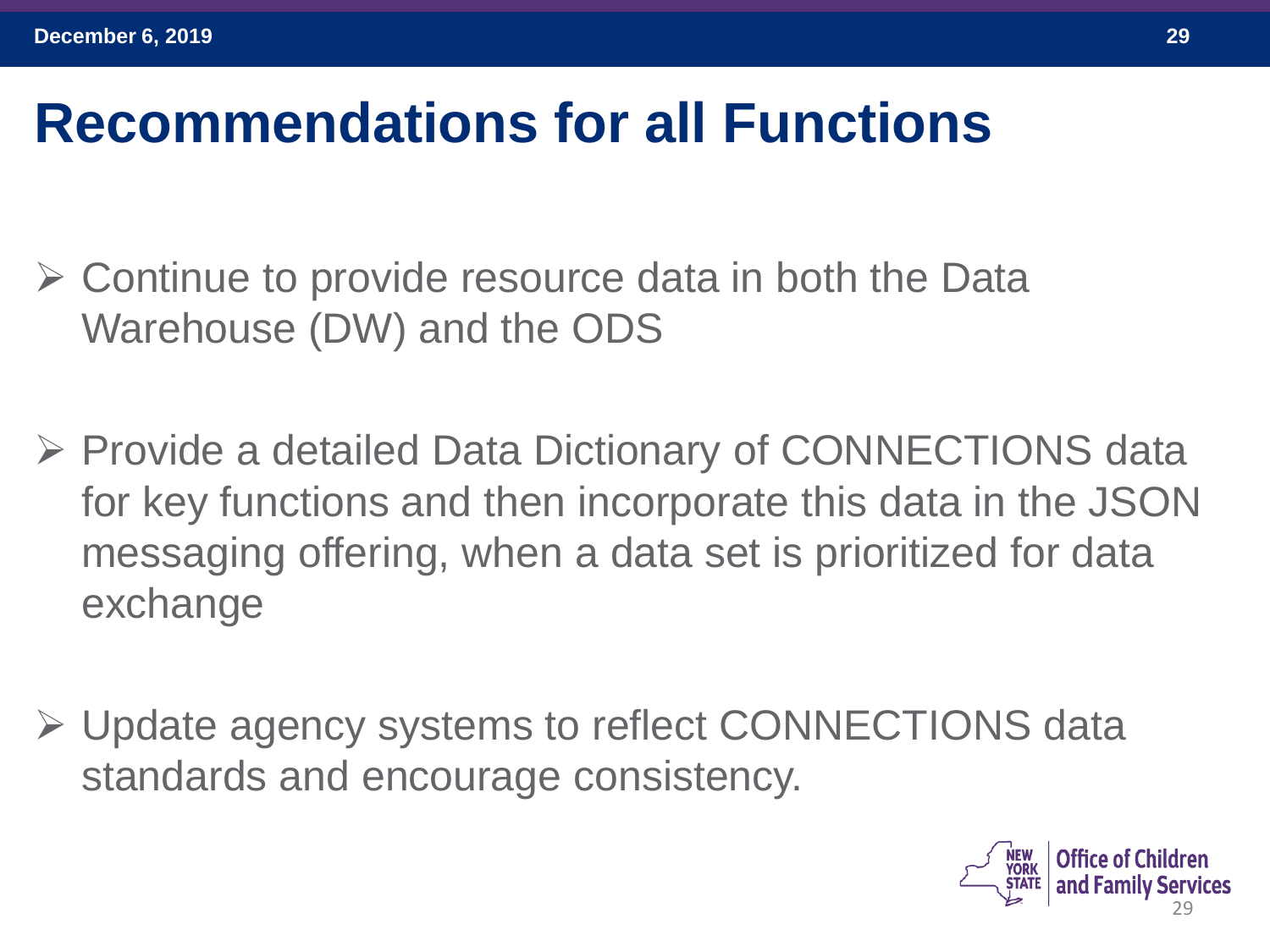#### **Recommendations for all Functions**

- ➢ Continue to provide resource data in both the Data Warehouse (DW) and the ODS
- ➢ Provide a detailed Data Dictionary of CONNECTIONS data for key functions and then incorporate this data in the JSON messaging offering, when a data set is prioritized for data exchange
- ➢ Update agency systems to reflect CONNECTIONS data standards and encourage consistency.

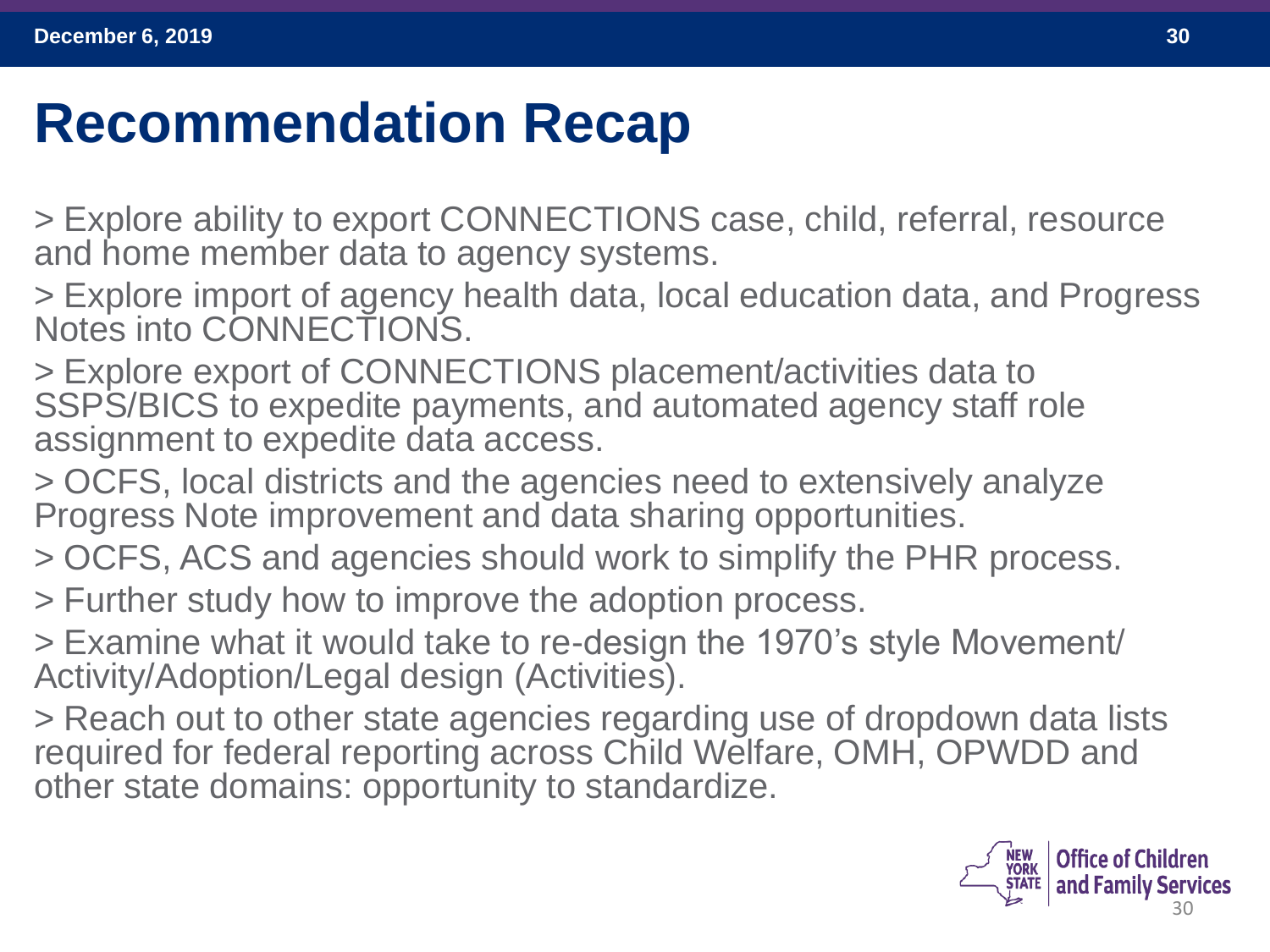#### **Recommendation Recap**

> Explore ability to export CONNECTIONS case, child, referral, resource and home member data to agency systems.

> Explore import of agency health data, local education data, and Progress Notes into CONNECTIONS.

> Explore export of CONNECTIONS placement/activities data to SSPS/BICS to expedite payments, and automated agency staff role assignment to expedite data access.

> OCFS, local districts and the agencies need to extensively analyze Progress Note improvement and data sharing opportunities.

> OCFS, ACS and agencies should work to simplify the PHR process.

> Further study how to improve the adoption process.

> Examine what it would take to re-design the 1970's style Movement/ Activity/Adoption/Legal design (Activities).

> Reach out to other state agencies regarding use of dropdown data lists required for federal reporting across Child Welfare, OMH, OPWDD and other state domains: opportunity to standardize.

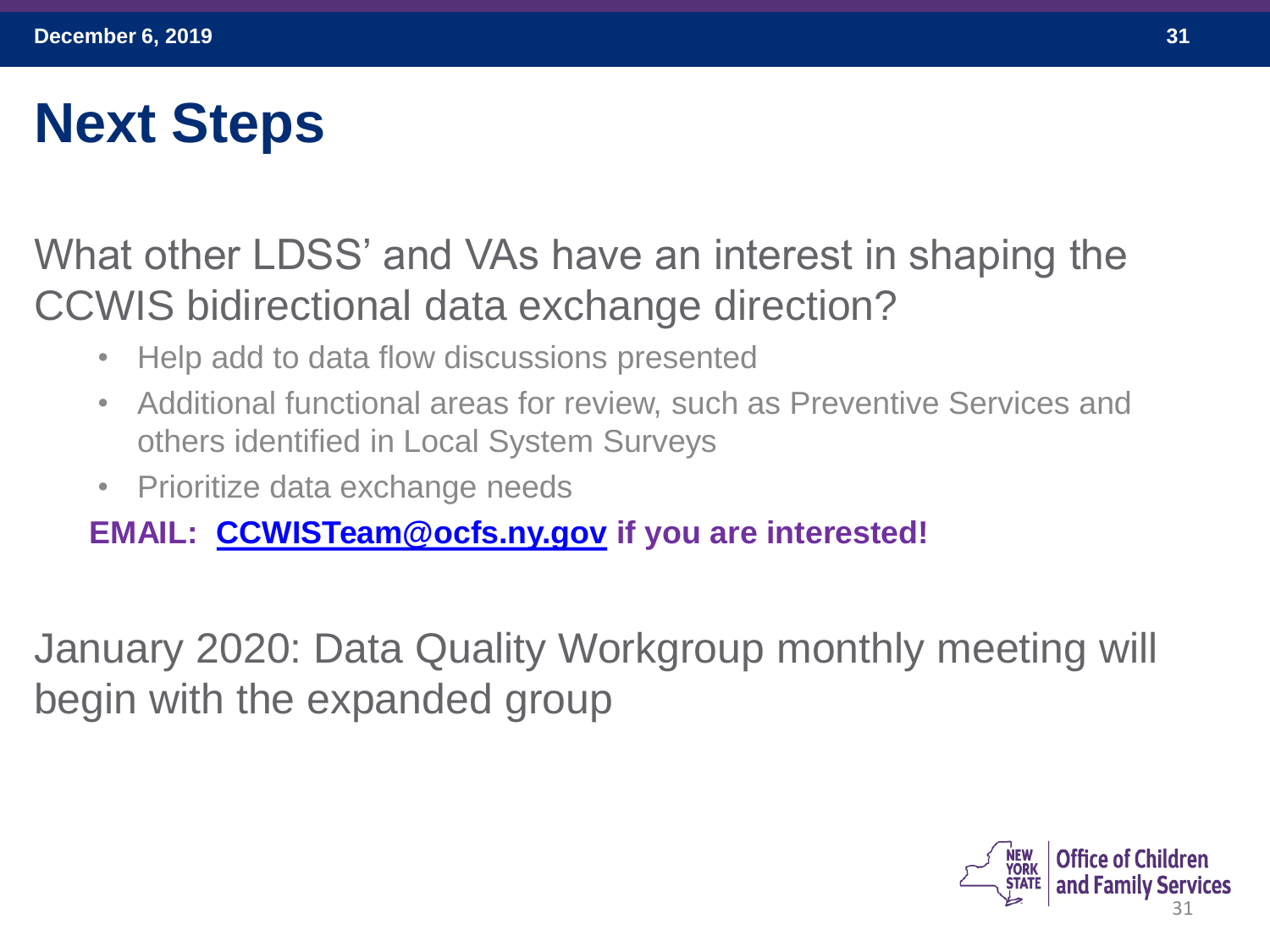## **Next Steps**

#### What other LDSS' and VAs have an interest in shaping the CCWIS bidirectional data exchange direction?

- Help add to data flow discussions presented
- Additional functional areas for review, such as Preventive Services and others identified in Local System Surveys
- Prioritize data exchange needs

#### **EMAIL: [CCWISTeam@ocfs.ny.gov](mailto:CCWISTeam@ocfs.ny.gov) if you are interested!**

January 2020: Data Quality Workgroup monthly meeting will begin with the expanded group